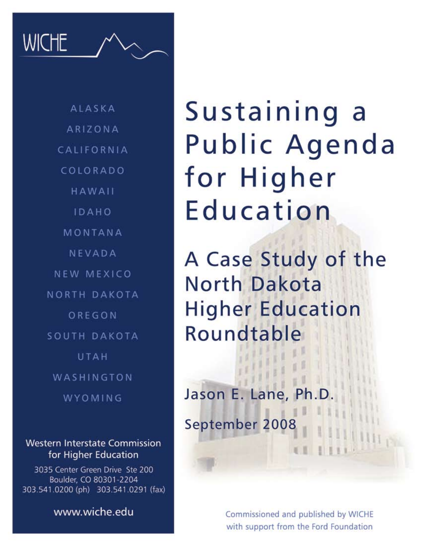**WICHE** 

**ALASKA** ARIZONA CALIFORNIA COLORADO HAWAII IDAHO MONTANA NEVADA NEW MEXICO NORTH DAKOTA OREGON SOUTH DAKOTA UTAH WASHINGTON WYOMING

**Western Interstate Commission** for Higher Education

3035 Center Green Drive Ste 200 Boulder, CO 80301-2204 303.541.0200 (ph) 303.541.0291 (fax)

www.wiche.edu

Sustaining a Public Agenda for Higher Education

A Case Study of the **North Dakota Higher Education** Roundtable

Jason E. Lane, Ph

September 2008

Commissioned and published by WICHE with support from the Ford Foundation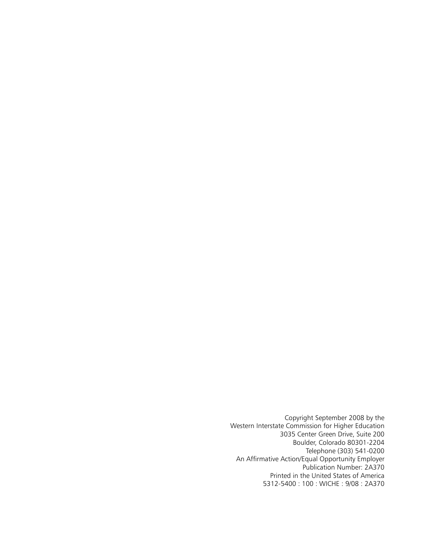Copyright September 2008 by the Western Interstate Commission for Higher Education 3035 Center Green Drive, Suite 200 Boulder, Colorado 80301-2204 Telephone (303) 541-0200 An Affirmative Action/Equal Opportunity Employer Publication Number: 2A370 Printed in the United States of America 5312-5400 : 100 : WICHE : 9/08 : 2A370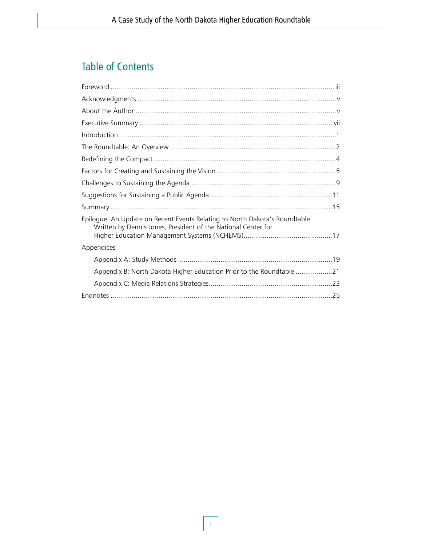# Table of Contents

| Epiloque: An Update on Recent Events Relating to North Dakota's Roundtable<br>Written by Dennis Jones, President of the National Center for |
|---------------------------------------------------------------------------------------------------------------------------------------------|
| Appendices                                                                                                                                  |
|                                                                                                                                             |
| Appendix B: North Dakota Higher Education Prior to the Roundtable 21                                                                        |
|                                                                                                                                             |
|                                                                                                                                             |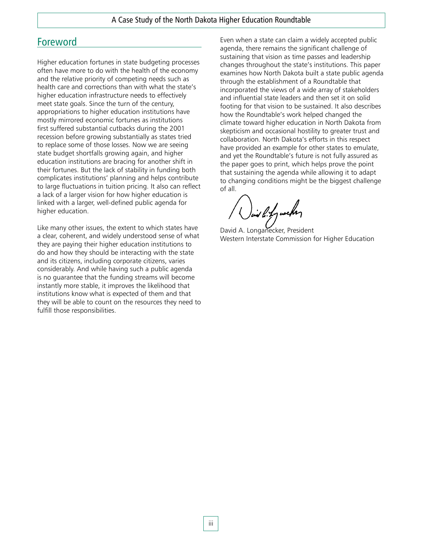### Foreword

Higher education fortunes in state budgeting processes often have more to do with the health of the economy and the relative priority of competing needs such as health care and corrections than with what the state's higher education infrastructure needs to effectively meet state goals. Since the turn of the century, appropriations to higher education institutions have mostly mirrored economic fortunes as institutions first suffered substantial cutbacks during the 2001 recession before growing substantially as states tried to replace some of those losses. Now we are seeing state budget shortfalls growing again, and higher education institutions are bracing for another shift in their fortunes. But the lack of stability in funding both complicates institutions' planning and helps contribute to large fluctuations in tuition pricing. It also can reflect a lack of a larger vision for how higher education is linked with a larger, well-defined public agenda for higher education.

Like many other issues, the extent to which states have a clear, coherent, and widely understood sense of what they are paying their higher education institutions to do and how they should be interacting with the state and its citizens, including corporate citizens, varies considerably. And while having such a public agenda is no guarantee that the funding streams will become instantly more stable, it improves the likelihood that institutions know what is expected of them and that they will be able to count on the resources they need to fulfill those responsibilities.

Even when a state can claim a widely accepted public agenda, there remains the significant challenge of sustaining that vision as time passes and leadership changes throughout the state's institutions. This paper examines how North Dakota built a state public agenda through the establishment of a Roundtable that incorporated the views of a wide array of stakeholders and influential state leaders and then set it on solid footing for that vision to be sustained. It also describes how the Roundtable's work helped changed the climate toward higher education in North Dakota from skepticism and occasional hostility to greater trust and collaboration. North Dakota's efforts in this respect have provided an example for other states to emulate, and yet the Roundtable's future is not fully assured as the paper goes to print, which helps prove the point that sustaining the agenda while allowing it to adapt to changing conditions might be the biggest challenge of all.

ind bity weeky

David A. Longanecker, President Western Interstate Commission for Higher Education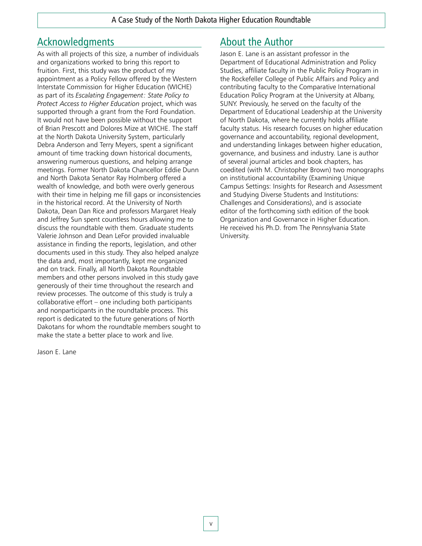## Acknowledgments

As with all projects of this size, a number of individuals and organizations worked to bring this report to fruition. First, this study was the product of my appointment as a Policy Fellow offered by the Western Interstate Commission for Higher Education (WICHE) as part of its *Escalating Engagement: State Policy to Protect Access to Higher Education* project, which was supported through a grant from the Ford Foundation. It would not have been possible without the support of Brian Prescott and Dolores Mize at WICHE. The staff at the North Dakota University System, particularly Debra Anderson and Terry Meyers, spent a significant amount of time tracking down historical documents, answering numerous questions, and helping arrange meetings. Former North Dakota Chancellor Eddie Dunn and North Dakota Senator Ray Holmberg offered a wealth of knowledge, and both were overly generous with their time in helping me fill gaps or inconsistencies in the historical record. At the University of North Dakota, Dean Dan Rice and professors Margaret Healy and Jeffrey Sun spent countless hours allowing me to discuss the roundtable with them. Graduate students Valerie Johnson and Dean LeFor provided invaluable assistance in finding the reports, legislation, and other documents used in this study. They also helped analyze the data and, most importantly, kept me organized and on track. Finally, all North Dakota Roundtable members and other persons involved in this study gave generously of their time throughout the research and review processes. The outcome of this study is truly a collaborative effort – one including both participants and nonparticipants in the roundtable process. This report is dedicated to the future generations of North Dakotans for whom the roundtable members sought to make the state a better place to work and live.

Jason E. Lane

## About the Author

Jason E. Lane is an assistant professor in the Department of Educational Administration and Policy Studies, affiliate faculty in the Public Policy Program in the Rockefeller College of Public Affairs and Policy and contributing faculty to the Comparative International Education Policy Program at the University at Albany, SUNY. Previously, he served on the faculty of the Department of Educational Leadership at the University of North Dakota, where he currently holds affiliate faculty status. His research focuses on higher education governance and accountability, regional development, and understanding linkages between higher education, governance, and business and industry. Lane is author of several journal articles and book chapters, has coedited (with M. Christopher Brown) two monographs on institutional accountability (Examining Unique Campus Settings: Insights for Research and Assessment and Studying Diverse Students and Institutions: Challenges and Considerations), and is associate editor of the forthcoming sixth edition of the book Organization and Governance in Higher Education. He received his Ph.D. from The Pennsylvania State University.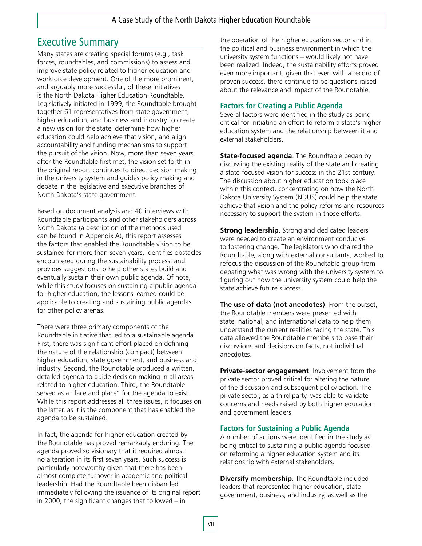## Executive Summary

Many states are creating special forums (e.g., task forces, roundtables, and commissions) to assess and improve state policy related to higher education and workforce development. One of the more prominent, and arguably more successful, of these initiatives is the North Dakota Higher Education Roundtable. Legislatively initiated in 1999, the Roundtable brought together 61 representatives from state government, higher education, and business and industry to create a new vision for the state, determine how higher education could help achieve that vision, and align accountability and funding mechanisms to support the pursuit of the vision. Now, more than seven years after the Roundtable first met, the vision set forth in the original report continues to direct decision making in the university system and guides policy making and debate in the legislative and executive branches of North Dakota's state government.

Based on document analysis and 40 interviews with Roundtable participants and other stakeholders across North Dakota (a description of the methods used can be found in Appendix A), this report assesses the factors that enabled the Roundtable vision to be sustained for more than seven years, identifies obstacles encountered during the sustainability process, and provides suggestions to help other states build and eventually sustain their own public agenda. Of note, while this study focuses on sustaining a public agenda for higher education, the lessons learned could be applicable to creating and sustaining public agendas for other policy arenas.

There were three primary components of the Roundtable initiative that led to a sustainable agenda. First, there was significant effort placed on defining the nature of the relationship (compact) between higher education, state government, and business and industry. Second, the Roundtable produced a written, detailed agenda to guide decision making in all areas related to higher education. Third, the Roundtable served as a "face and place" for the agenda to exist. While this report addresses all three issues, it focuses on the latter, as it is the component that has enabled the agenda to be sustained.

In fact, the agenda for higher education created by the Roundtable has proved remarkably enduring. The agenda proved so visionary that it required almost no alteration in its first seven years. Such success is particularly noteworthy given that there has been almost complete turnover in academic and political leadership. Had the Roundtable been disbanded immediately following the issuance of its original report in 2000, the significant changes that followed – in

the operation of the higher education sector and in the political and business environment in which the university system functions – would likely not have been realized. Indeed, the sustainability efforts proved even more important, given that even with a record of proven success, there continue to be questions raised about the relevance and impact of the Roundtable.

### **Factors for Creating a Public Agenda**

Several factors were identified in the study as being critical for initiating an effort to reform a state's higher education system and the relationship between it and external stakeholders.

**State-focused agenda**. The Roundtable began by discussing the existing reality of the state and creating a state-focused vision for success in the 21st century. The discussion about higher education took place within this context, concentrating on how the North Dakota University System (NDUS) could help the state achieve that vision and the policy reforms and resources necessary to support the system in those efforts.

**Strong leadership**. Strong and dedicated leaders were needed to create an environment conducive to fostering change. The legislators who chaired the Roundtable, along with external consultants, worked to refocus the discussion of the Roundtable group from debating what was wrong with the university system to figuring out how the university system could help the state achieve future success.

**The use of data (not anecdotes)**. From the outset, the Roundtable members were presented with state, national, and international data to help them understand the current realities facing the state. This data allowed the Roundtable members to base their discussions and decisions on facts, not individual anecdotes.

**Private-sector engagement**. Involvement from the private sector proved critical for altering the nature of the discussion and subsequent policy action. The private sector, as a third party, was able to validate concerns and needs raised by both higher education and government leaders.

### **Factors for Sustaining a Public Agenda**

A number of actions were identified in the study as being critical to sustaining a public agenda focused on reforming a higher education system and its relationship with external stakeholders.

**Diversify membership**. The Roundtable included leaders that represented higher education, state government, business, and industry, as well as the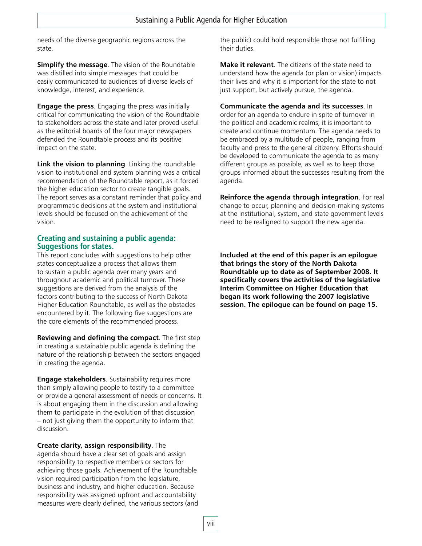needs of the diverse geographic regions across the state.

**Simplify the message**. The vision of the Roundtable was distilled into simple messages that could be easily communicated to audiences of diverse levels of knowledge, interest, and experience.

**Engage the press**. Engaging the press was initially critical for communicating the vision of the Roundtable to stakeholders across the state and later proved useful as the editorial boards of the four major newspapers defended the Roundtable process and its positive impact on the state.

**Link the vision to planning**. Linking the roundtable vision to institutional and system planning was a critical recommendation of the Roundtable report, as it forced the higher education sector to create tangible goals. The report serves as a constant reminder that policy and programmatic decisions at the system and institutional levels should be focused on the achievement of the vision.

#### **Creating and sustaining a public agenda: Suggestions for states.**

This report concludes with suggestions to help other states conceptualize a process that allows them to sustain a public agenda over many years and throughout academic and political turnover. These suggestions are derived from the analysis of the factors contributing to the success of North Dakota Higher Education Roundtable, as well as the obstacles encountered by it. The following five suggestions are the core elements of the recommended process.

**Reviewing and defining the compact**. The first step in creating a sustainable public agenda is defining the nature of the relationship between the sectors engaged in creating the agenda.

**Engage stakeholders**. Sustainability requires more than simply allowing people to testify to a committee or provide a general assessment of needs or concerns. It is about engaging them in the discussion and allowing them to participate in the evolution of that discussion – not just giving them the opportunity to inform that discussion.

**Create clarity, assign responsibility**. The agenda should have a clear set of goals and assign responsibility to respective members or sectors for achieving those goals. Achievement of the Roundtable vision required participation from the legislature, business and industry, and higher education. Because responsibility was assigned upfront and accountability measures were clearly defined, the various sectors (and the public) could hold responsible those not fulfilling their duties.

**Make it relevant**. The citizens of the state need to understand how the agenda (or plan or vision) impacts their lives and why it is important for the state to not just support, but actively pursue, the agenda.

**Communicate the agenda and its successes**. In order for an agenda to endure in spite of turnover in the political and academic realms, it is important to create and continue momentum. The agenda needs to be embraced by a multitude of people, ranging from faculty and press to the general citizenry. Efforts should be developed to communicate the agenda to as many different groups as possible, as well as to keep those groups informed about the successes resulting from the agenda.

**Reinforce the agenda through integration**. For real change to occur, planning and decision-making systems at the institutional, system, and state government levels need to be realigned to support the new agenda.

**Included at the end of this paper is an epilogue that brings the story of the North Dakota Roundtable up to date as of September 2008. It specifically covers the activities of the legislative Interim Committee on Higher Education that began its work following the 2007 legislative session. The epilogue can be found on page 15.**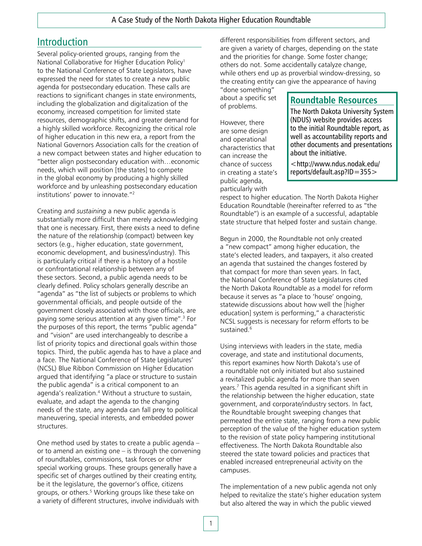## Introduction

Several policy-oriented groups, ranging from the National Collaborative for Higher Education Policy1 to the National Conference of State Legislators, have expressed the need for states to create a new public agenda for postsecondary education. These calls are reactions to significant changes in state environments, including the globalization and digitalization of the economy, increased competition for limited state resources, demographic shifts, and greater demand for a highly skilled workforce. Recognizing the critical role of higher education in this new era, a report from the National Governors Association calls for the creation of a new compact between states and higher education to "better align postsecondary education with…economic needs, which will position [the states] to compete in the global economy by producing a highly skilled workforce and by unleashing postsecondary education institutions' power to innovate."2

Creating and *sustaining* a new public agenda is substantially more difficult than merely acknowledging that one is necessary. First, there exists a need to define the nature of the relationship (compact) between key sectors (e.g., higher education, state government, economic development, and business/industry). This is particularly critical if there is a history of a hostile or confrontational relationship between any of these sectors. Second, a public agenda needs to be clearly defined. Policy scholars generally describe an "agenda" as "the list of subjects or problems to which governmental officials, and people outside of the government closely associated with those officials, are paying some serious attention at any given time".<sup>3</sup> For the purposes of this report, the terms "public agenda" and "vision" are used interchangeably to describe a list of priority topics and directional goals within those topics. Third, the public agenda has to have a place and a face. The National Conference of State Legislatures' (NCSL) Blue Ribbon Commission on Higher Education argued that identifying "a place or structure to sustain the public agenda" is a critical component to an agenda's realization.4 Without a structure to sustain, evaluate, and adapt the agenda to the changing needs of the state, any agenda can fall prey to political maneuvering, special interests, and embedded power structures.

One method used by states to create a public agenda – or to amend an existing one – is through the convening of roundtables, commissions, task forces or other special working groups. These groups generally have a specific set of charges outlined by their creating entity, be it the legislature, the governor's office, citizens groups, or others.<sup>5</sup> Working groups like these take on a variety of different structures, involve individuals with

different responsibilities from different sectors, and are given a variety of charges, depending on the state and the priorities for change. Some foster change; others do not. Some accidentally catalyze change, while others end up as proverbial window-dressing, so the creating entity can give the appearance of having

"done something" about a specific set of problems.

However, there are some design and operational characteristics that can increase the chance of success in creating a state's public agenda, particularly with

### **Roundtable Resources**

The North Dakota University System (NDUS) website provides access to the initial Roundtable report, as well as accountability reports and other documents and presentations about the initiative.

<http://www.ndus.nodak.edu/ reports/default.asp?ID=355>

respect to higher education. The North Dakota Higher Education Roundtable (hereinafter referred to as "the Roundtable") is an example of a successful, adaptable state structure that helped foster and sustain change.

Begun in 2000, the Roundtable not only created a "new compact" among higher education, the state's elected leaders, and taxpayers, it also created an agenda that sustained the changes fostered by that compact for more than seven years. In fact, the National Conference of State Legislatures cited the North Dakota Roundtable as a model for reform because it serves as "a place to 'house' ongoing, statewide discussions about how well the [higher education] system is performing," a characteristic NCSL suggests is necessary for reform efforts to be sustained.6

Using interviews with leaders in the state, media coverage, and state and institutional documents, this report examines how North Dakota's use of a roundtable not only initiated but also sustained a revitalized public agenda for more than seven years.7 This agenda resulted in a significant shift in the relationship between the higher education, state government, and corporate/industry sectors. In fact, the Roundtable brought sweeping changes that permeated the entire state, ranging from a new public perception of the value of the higher education system to the revision of state policy hampering institutional effectiveness. The North Dakota Roundtable also steered the state toward policies and practices that enabled increased entrepreneurial activity on the campuses.

The implementation of a new public agenda not only helped to revitalize the state's higher education system but also altered the way in which the public viewed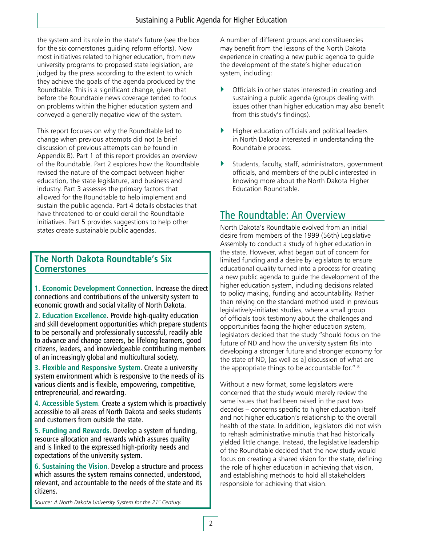the system and its role in the state's future (see the box for the six cornerstones guiding reform efforts). Now most initiatives related to higher education, from new university programs to proposed state legislation, are judged by the press according to the extent to which they achieve the goals of the agenda produced by the Roundtable. This is a significant change, given that before the Roundtable news coverage tended to focus on problems within the higher education system and conveyed a generally negative view of the system.

This report focuses on why the Roundtable led to change when previous attempts did not (a brief discussion of previous attempts can be found in Appendix B). Part 1 of this report provides an overview of the Roundtable. Part 2 explores how the Roundtable revised the nature of the compact between higher education, the state legislature, and business and industry. Part 3 assesses the primary factors that allowed for the Roundtable to help implement and sustain the public agenda. Part 4 details obstacles that have threatened to or could derail the Roundtable initiatives. Part 5 provides suggestions to help other states create sustainable public agendas.

### **The North Dakota Roundtable's Six Cornerstones**

**1. Economic Development Connection**. Increase the direct connections and contributions of the university system to economic growth and social vitality of North Dakota.

**2. Education Excellence**. Provide high-quality education and skill development opportunities which prepare students to be personally and professionally successful, readily able to advance and change careers, be lifelong learners, good citizens, leaders, and knowledgeable contributing members of an increasingly global and multicultural society.

**3. Flexible and Responsive System**. Create a university system environment which is responsive to the needs of its various clients and is flexible, empowering, competitive, entrepreneurial, and rewarding.

**4. Accessible System**. Create a system which is proactively accessible to all areas of North Dakota and seeks students and customers from outside the state.

**5. Funding and Rewards**. Develop a system of funding, resource allocation and rewards which assures quality and is linked to the expressed high-priority needs and expectations of the university system.

**6. Sustaining the Vision**. Develop a structure and process which assures the system remains connected, understood, relevant, and accountable to the needs of the state and its citizens.

A number of different groups and constituencies may benefit from the lessons of the North Dakota experience in creating a new public agenda to guide the development of the state's higher education system, including:

- $\triangleright$  Officials in other states interested in creating and sustaining a public agenda (groups dealing with issues other than higher education may also benefit from this study's findings).
- $\blacktriangleright$  Higher education officials and political leaders in North Dakota interested in understanding the Roundtable process.
- $\blacktriangleright$  Students, faculty, staff, administrators, government officials, and members of the public interested in knowing more about the North Dakota Higher Education Roundtable.

## The Roundtable: An Overview

North Dakota's Roundtable evolved from an initial desire from members of the 1999 (56th) Legislative Assembly to conduct a study of higher education in the state. However, what began out of concern for limited funding and a desire by legislators to ensure educational quality turned into a process for creating a new public agenda to guide the development of the higher education system, including decisions related to policy making, funding and accountability. Rather than relying on the standard method used in previous legislatively-initiated studies, where a small group of officials took testimony about the challenges and opportunities facing the higher education system, legislators decided that the study "should focus on the future of ND and how the university system fits into developing a stronger future and stronger economy for the state of ND, [as well as a] discussion of what are the appropriate things to be accountable for." <sup>8</sup>

Without a new format, some legislators were concerned that the study would merely review the same issues that had been raised in the past two decades – concerns specific to higher education itself and not higher education's relationship to the overall health of the state. In addition, legislators did not wish to rehash administrative minutia that had historically yielded little change. Instead, the legislative leadership of the Roundtable decided that the new study would focus on creating a shared vision for the state, defining the role of higher education in achieving that vision, and establishing methods to hold all stakeholders responsible for achieving that vision.

*Source: A North Dakota University System for the 21st Century.*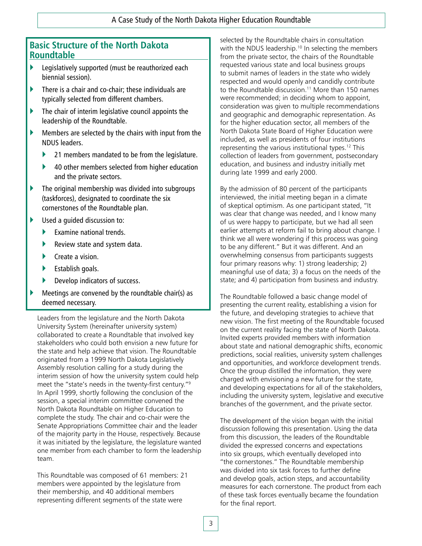### **Basic Structure of the North Dakota Roundtable**

- ` Legislatively supported (must be reauthorized each biennial session).
- $\blacktriangleright$  There is a chair and co-chair; these individuals are typically selected from different chambers.
- $\blacktriangleright$  The chair of interim legislative council appoints the leadership of the Roundtable.
- $\blacktriangleright$  Members are selected by the chairs with input from the NDUS leaders.
	- $\blacktriangleright$  21 members mandated to be from the legislature.
	- ▶ 40 other members selected from higher education and the private sectors.
- $\blacktriangleright$  The original membership was divided into subgroups (taskforces), designated to coordinate the six cornerstones of the Roundtable plan.
- $\blacktriangleright$  Used a quided discussion to:
	- $\blacktriangleright$  Examine national trends.
	- $\blacktriangleright$  Review state and system data.
	- $\blacktriangleright$  Create a vision.
	- $\blacktriangleright$  Establish goals.
	- Develop indicators of success.
- Meetings are convened by the roundtable chair(s) as deemed necessary.

Leaders from the legislature and the North Dakota University System (hereinafter university system) collaborated to create a Roundtable that involved key stakeholders who could both envision a new future for the state and help achieve that vision. The Roundtable originated from a 1999 North Dakota Legislatively Assembly resolution calling for a study during the interim session of how the university system could help meet the "state's needs in the twenty-first century."9 In April 1999, shortly following the conclusion of the session, a special interim committee convened the North Dakota Roundtable on Higher Education to complete the study. The chair and co-chair were the Senate Appropriations Committee chair and the leader of the majority party in the House, respectively. Because it was initiated by the legislature, the legislature wanted one member from each chamber to form the leadership team.

This Roundtable was composed of 61 members: 21 members were appointed by the legislature from their membership, and 40 additional members representing different segments of the state were

selected by the Roundtable chairs in consultation with the NDUS leadership.<sup>10</sup> In selecting the members from the private sector, the chairs of the Roundtable requested various state and local business groups to submit names of leaders in the state who widely respected and would openly and candidly contribute to the Roundtable discussion.<sup>11</sup> More than 150 names were recommended; in deciding whom to appoint, consideration was given to multiple recommendations and geographic and demographic representation. As for the higher education sector, all members of the North Dakota State Board of Higher Education were included, as well as presidents of four institutions representing the various institutional types.12 This collection of leaders from government, postsecondary education, and business and industry initially met during late 1999 and early 2000.

By the admission of 80 percent of the participants interviewed, the initial meeting began in a climate of skeptical optimism. As one participant stated, "It was clear that change was needed, and I know many of us were happy to participate, but we had all seen earlier attempts at reform fail to bring about change. I think we all were wondering if this process was going to be any different." But it was different. And an overwhelming consensus from participants suggests four primary reasons why: 1) strong leadership; 2) meaningful use of data; 3) a focus on the needs of the state; and 4) participation from business and industry.

The Roundtable followed a basic change model of presenting the current reality, establishing a vision for the future, and developing strategies to achieve that new vision. The first meeting of the Roundtable focused on the current reality facing the state of North Dakota. Invited experts provided members with information about state and national demographic shifts, economic predictions, social realities, university system challenges and opportunities, and workforce development trends. Once the group distilled the information, they were charged with envisioning a new future for the state, and developing expectations for all of the stakeholders, including the university system, legislative and executive branches of the government, and the private sector.

The development of the vision began with the initial discussion following this presentation. Using the data from this discussion, the leaders of the Roundtable divided the expressed concerns and expectations into six groups, which eventually developed into "the cornerstones." The Roundtable membership was divided into six task forces to further define and develop goals, action steps, and accountability measures for each cornerstone. The product from each of these task forces eventually became the foundation for the final report.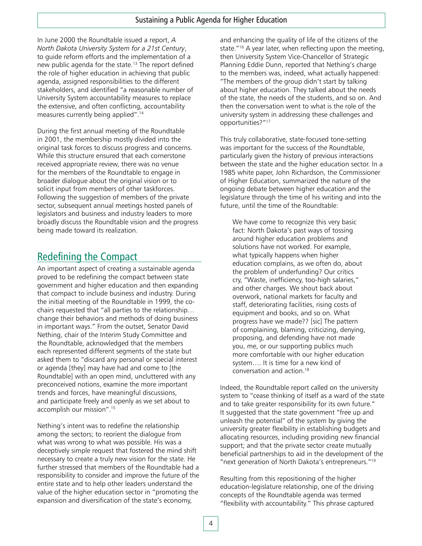In June 2000 the Roundtable issued a report, *A North Dakota University System for a 21st Century*, to guide reform efforts and the implementation of a new public agenda for the state.<sup>13</sup> The report defined the role of higher education in achieving that public agenda, assigned responsibilities to the different stakeholders, and identified "a reasonable number of University System accountability measures to replace the extensive, and often conflicting, accountability measures currently being applied".14

During the first annual meeting of the Roundtable in 2001, the membership mostly divided into the original task forces to discuss progress and concerns. While this structure ensured that each cornerstone received appropriate review, there was no venue for the members of the Roundtable to engage in broader dialogue about the original vision or to solicit input from members of other taskforces. Following the suggestion of members of the private sector, subsequent annual meetings hosted panels of legislators and business and industry leaders to more broadly discuss the Roundtable vision and the progress being made toward its realization.

## Redefining the Compact

An important aspect of creating a sustainable agenda proved to be redefining the compact between state government and higher education and then expanding that compact to include business and industry. During the initial meeting of the Roundtable in 1999, the cochairs requested that "all parties to the relationship… change their behaviors and methods of doing business in important ways." From the outset, Senator David Nething, chair of the Interim Study Committee and the Roundtable, acknowledged that the members each represented different segments of the state but asked them to "discard any personal or special interest or agenda [they] may have had and come to [the Roundtable] with an open mind, uncluttered with any preconceived notions, examine the more important trends and forces, have meaningful discussions, and participate freely and openly as we set about to accomplish our mission".15

Nething's intent was to redefine the relationship among the sectors; to reorient the dialogue from what was wrong to what was possible. His was a deceptively simple request that fostered the mind shift necessary to create a truly new vision for the state. He further stressed that members of the Roundtable had a responsibility to consider and improve the future of the entire state and to help other leaders understand the value of the higher education sector in "promoting the expansion and diversification of the state's economy,

and enhancing the quality of life of the citizens of the state."16 A year later, when reflecting upon the meeting, then University System Vice-Chancellor of Strategic Planning Eddie Dunn, reported that Nething's charge to the members was, indeed, what actually happened: "The members of the group didn't start by talking about higher education. They talked about the needs of the state, the needs of the students, and so on. And then the conversation went to what is the role of the university system in addressing these challenges and opportunities?"17

This truly collaborative, state-focused tone-setting was important for the success of the Roundtable, particularly given the history of previous interactions between the state and the higher education sector. In a 1985 white paper, John Richardson, the Commissioner of Higher Education, summarized the nature of the ongoing debate between higher education and the legislature through the time of his writing and into the future, until the time of the Roundtable:

We have come to recognize this very basic fact: North Dakota's past ways of tossing around higher education problems and solutions have not worked. For example, what typically happens when higher education complains, as we often do, about the problem of underfunding? Our critics cry, "Waste, inefficiency, too-high salaries," and other charges. We shout back about overwork, national markets for faculty and staff, deteriorating facilities, rising costs of equipment and books, and so on. What progress have we made?? [sic] The pattern of complaining, blaming, criticizing, denying, proposing, and defending have not made you, me, or our supporting publics much more comfortable with our higher education system…. It is time for a new kind of conversation and action.18

Indeed, the Roundtable report called on the university system to "cease thinking of itself as a ward of the state and to take greater responsibility for its own future." It suggested that the state government "free up and unleash the potential" of the system by giving the university greater flexibility in establishing budgets and allocating resources, including providing new financial support; and that the private sector create mutually beneficial partnerships to aid in the development of the "next generation of North Dakota's entrepreneurs."19

Resulting from this repositioning of the higher education-legislature relationship, one of the driving concepts of the Roundtable agenda was termed "flexibility with accountability." This phrase captured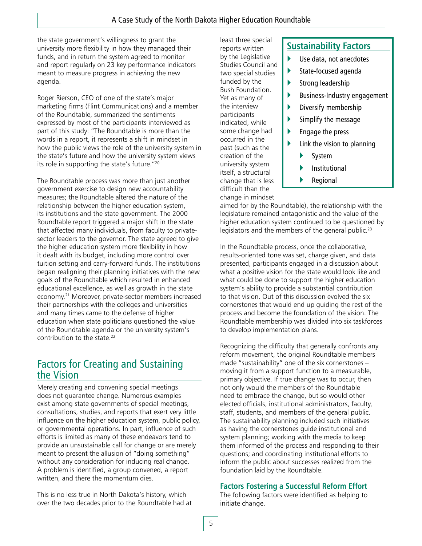#### A Case Study of the North Dakota Higher Education Roundtable

the state government's willingness to grant the university more flexibility in how they managed their funds, and in return the system agreed to monitor and report regularly on 23 key performance indicators meant to measure progress in achieving the new agenda.

Roger Rierson, CEO of one of the state's major marketing firms (Flint Communications) and a member of the Roundtable, summarized the sentiments expressed by most of the participants interviewed as part of this study: "The Roundtable is more than the words in a report, it represents a shift in mindset in how the public views the role of the university system in the state's future and how the university system views its role in supporting the state's future."20

The Roundtable process was more than just another government exercise to design new accountability measures; the Roundtable altered the nature of the relationship between the higher education system, its institutions and the state government. The 2000 Roundtable report triggered a major shift in the state that affected many individuals, from faculty to privatesector leaders to the governor. The state agreed to give the higher education system more flexibility in how it dealt with its budget, including more control over tuition setting and carry-forward funds. The institutions began realigning their planning initiatives with the new goals of the Roundtable which resulted in enhanced educational excellence, as well as growth in the state economy.21 Moreover, private-sector members increased their partnerships with the colleges and universities and many times came to the defense of higher education when state politicians questioned the value of the Roundtable agenda or the university system's contribution to the state.<sup>22</sup>

## Factors for Creating and Sustaining the Vision

Merely creating and convening special meetings does not guarantee change. Numerous examples exist among state governments of special meetings, consultations, studies, and reports that exert very little influence on the higher education system, public policy, or governmental operations. In part, influence of such efforts is limited as many of these endeavors tend to provide an unsustainable call for change or are merely meant to present the allusion of "doing something" without any consideration for inducing real change. A problem is identified, a group convened, a report written, and there the momentum dies.

This is no less true in North Dakota's history, which over the two decades prior to the Roundtable had at

reports written by the Legislative Studies Council and two special studies funded by the Bush Foundation. Yet as many of the interview participants indicated, while some change had occurred in the past (such as the creation of the university system itself, a structural change that is less difficult than the change in mindset

least three special

### **Sustainability Factors**

- $\blacktriangleright$  Use data, not anecdotes
- $\blacktriangleright$  State-focused agenda
- Strong leadership
- ` Business-Industry engagement
- $\blacktriangleright$  Diversify membership
- Simplify the message
- ` Engage the press
- Link the vision to planning
	- **System**
	- **Institutional**
	- $\blacktriangleright$  Regional

aimed for by the Roundtable), the relationship with the legislature remained antagonistic and the value of the higher education system continued to be questioned by legislators and the members of the general public.<sup>23</sup>

In the Roundtable process, once the collaborative, results-oriented tone was set, charge given, and data presented, participants engaged in a discussion about what a positive vision for the state would look like and what could be done to support the higher education system's ability to provide a substantial contribution to that vision. Out of this discussion evolved the six cornerstones that would end up guiding the rest of the process and become the foundation of the vision. The Roundtable membership was divided into six taskforces to develop implementation plans.

Recognizing the difficulty that generally confronts any reform movement, the original Roundtable members made "sustainability" one of the six cornerstones – moving it from a support function to a measurable, primary objective. If true change was to occur, then not only would the members of the Roundtable need to embrace the change, but so would other elected officials, institutional administrators, faculty, staff, students, and members of the general public. The sustainability planning included such initiatives as having the cornerstones guide institutional and system planning; working with the media to keep them informed of the process and responding to their questions; and coordinating institutional efforts to inform the public about successes realized from the foundation laid by the Roundtable.

#### **Factors Fostering a Successful Reform Effort**

The following factors were identified as helping to initiate change.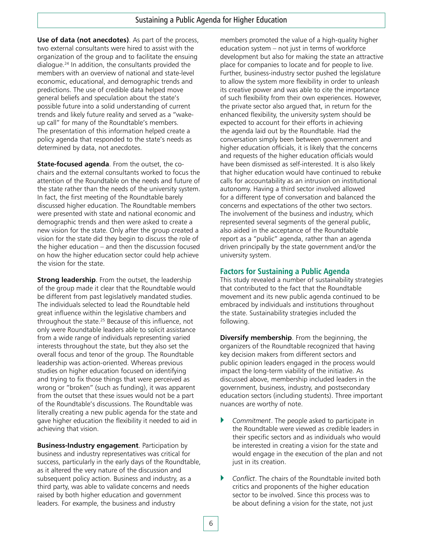**Use of data (not anecdotes)**. As part of the process, two external consultants were hired to assist with the organization of the group and to facilitate the ensuing dialogue.24 In addition, the consultants provided the members with an overview of national and state-level economic, educational, and demographic trends and predictions. The use of credible data helped move general beliefs and speculation about the state's possible future into a solid understanding of current trends and likely future reality and served as a "wakeup call" for many of the Roundtable's members. The presentation of this information helped create a policy agenda that responded to the state's needs as determined by data, not anecdotes.

**State-focused agenda**. From the outset, the cochairs and the external consultants worked to focus the attention of the Roundtable on the needs and future of the state rather than the needs of the university system. In fact, the first meeting of the Roundtable barely discussed higher education. The Roundtable members were presented with state and national economic and demographic trends and then were asked to create a new vision for the state. Only after the group created a vision for the state did they begin to discuss the role of the higher education – and then the discussion focused on how the higher education sector could help achieve the vision for the state.

**Strong leadership**. From the outset, the leadership of the group made it clear that the Roundtable would be different from past legislatively mandated studies. The individuals selected to lead the Roundtable held great influence within the legislative chambers and throughout the state.25 Because of this influence, not only were Roundtable leaders able to solicit assistance from a wide range of individuals representing varied interests throughout the state, but they also set the overall focus and tenor of the group. The Roundtable leadership was action-oriented. Whereas previous studies on higher education focused on identifying and trying to fix those things that were perceived as wrong or "broken" (such as funding), it was apparent from the outset that these issues would not be a part of the Roundtable's discussions. The Roundtable was literally creating a new public agenda for the state and gave higher education the flexibility it needed to aid in achieving that vision.

**Business-Industry engagement**. Participation by business and industry representatives was critical for success, particularly in the early days of the Roundtable, as it altered the very nature of the discussion and subsequent policy action. Business and industry, as a third party, was able to validate concerns and needs raised by both higher education and government leaders. For example, the business and industry

members promoted the value of a high-quality higher education system – not just in terms of workforce development but also for making the state an attractive place for companies to locate and for people to live. Further, business-industry sector pushed the legislature to allow the system more flexibility in order to unleash its creative power and was able to cite the importance of such flexibility from their own experiences. However, the private sector also argued that, in return for the enhanced flexibility, the university system should be expected to account for their efforts in achieving the agenda laid out by the Roundtable. Had the conversation simply been between government and higher education officials, it is likely that the concerns and requests of the higher education officials would have been dismissed as self-interested. It is also likely that higher education would have continued to rebuke calls for accountability as an intrusion on institutional autonomy. Having a third sector involved allowed for a different type of conversation and balanced the concerns and expectations of the other two sectors. The involvement of the business and industry, which represented several segments of the general public, also aided in the acceptance of the Roundtable report as a "public" agenda, rather than an agenda driven principally by the state government and/or the university system.

#### **Factors for Sustaining a Public Agenda**

This study revealed a number of sustainability strategies that contributed to the fact that the Roundtable movement and its new public agenda continued to be embraced by individuals and institutions throughout the state. Sustainability strategies included the following.

**Diversify membership**. From the beginning, the organizers of the Roundtable recognized that having key decision makers from different sectors and public opinion leaders engaged in the process would impact the long-term viability of the initiative. As discussed above, membership included leaders in the government, business, industry, and postsecondary education sectors (including students). Three important nuances are worthy of note.

- **Commitment.** The people asked to participate in the Roundtable were viewed as credible leaders in their specific sectors and as individuals who would be interested in creating a vision for the state and would engage in the execution of the plan and not just in its creation.
- ▶ *Conflict*. The chairs of the Roundtable invited both critics and proponents of the higher education sector to be involved. Since this process was to be about defining a vision for the state, not just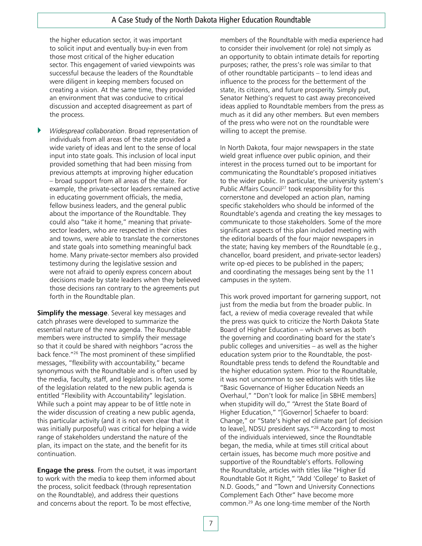the higher education sector, it was important to solicit input and eventually buy-in even from those most critical of the higher education sector. This engagement of varied viewpoints was successful because the leaders of the Roundtable were diligent in keeping members focused on creating a vision. At the same time, they provided an environment that was conducive to critical discussion and accepted disagreement as part of the process.

` *Widespread collaboration*. Broad representation of individuals from all areas of the state provided a wide variety of ideas and lent to the sense of local input into state goals. This inclusion of local input provided something that had been missing from previous attempts at improving higher education – broad support from all areas of the state. For example, the private-sector leaders remained active in educating government officials, the media, fellow business leaders, and the general public about the importance of the Roundtable. They could also "take it home," meaning that privatesector leaders, who are respected in their cities and towns, were able to translate the cornerstones and state goals into something meaningful back home. Many private-sector members also provided testimony during the legislative session and were not afraid to openly express concern about decisions made by state leaders when they believed those decisions ran contrary to the agreements put forth in the Roundtable plan.

**Simplify the message**. Several key messages and catch phrases were developed to summarize the essential nature of the new agenda. The Roundtable members were instructed to simplify their message so that it could be shared with neighbors "across the back fence."26 The most prominent of these simplified messages, "flexibility with accountability," became synonymous with the Roundtable and is often used by the media, faculty, staff, and legislators. In fact, some of the legislation related to the new public agenda is entitled "Flexibility with Accountability" legislation. While such a point may appear to be of little note in the wider discussion of creating a new public agenda, this particular activity (and it is not even clear that it was initially purposeful) was critical for helping a wide range of stakeholders understand the nature of the plan, its impact on the state, and the benefit for its continuation.

**Engage the press**. From the outset, it was important to work with the media to keep them informed about the process, solicit feedback (through representation on the Roundtable), and address their questions and concerns about the report. To be most effective,

members of the Roundtable with media experience had to consider their involvement (or role) not simply as an opportunity to obtain intimate details for reporting purposes; rather, the press's role was similar to that of other roundtable participants – to lend ideas and influence to the process for the betterment of the state, its citizens, and future prosperity. Simply put, Senator Nething's request to cast away preconceived ideas applied to Roundtable members from the press as much as it did any other members. But even members of the press who were not on the roundtable were willing to accept the premise.

In North Dakota, four major newspapers in the state wield great influence over public opinion, and their interest in the process turned out to be important for communicating the Roundtable's proposed initiatives to the wider public. In particular, the university system's Public Affairs Council<sup>27</sup> took responsibility for this cornerstone and developed an action plan, naming specific stakeholders who should be informed of the Roundtable's agenda and creating the key messages to communicate to those stakeholders. Some of the more significant aspects of this plan included meeting with the editorial boards of the four major newspapers in the state; having key members of the Roundtable (e.g., chancellor, board president, and private-sector leaders) write op-ed pieces to be published in the papers; and coordinating the messages being sent by the 11 campuses in the system.

This work proved important for garnering support, not just from the media but from the broader public. In fact, a review of media coverage revealed that while the press was quick to criticize the North Dakota State Board of Higher Education – which serves as both the governing and coordinating board for the state's public colleges and universities – as well as the higher education system prior to the Roundtable, the post-Roundtable press tends to defend the Roundtable and the higher education system. Prior to the Roundtable, it was not uncommon to see editorials with titles like "Basic Governance of Higher Education Needs an Overhaul," "Don't look for malice [in SBHE members] when stupidity will do," "Arrest the State Board of Higher Education," "[Governor] Schaefer to board: Change," or "State's higher ed climate part [of decision to leave], NDSU president says."28 According to most of the individuals interviewed, since the Roundtable began, the media, while at times still critical about certain issues, has become much more positive and supportive of the Roundtable's efforts. Following the Roundtable, articles with titles like "Higher Ed Roundtable Got It Right," "Add 'College' to Basket of N.D. Goods," and "Town and University Connections Complement Each Other" have become more common.29 As one long-time member of the North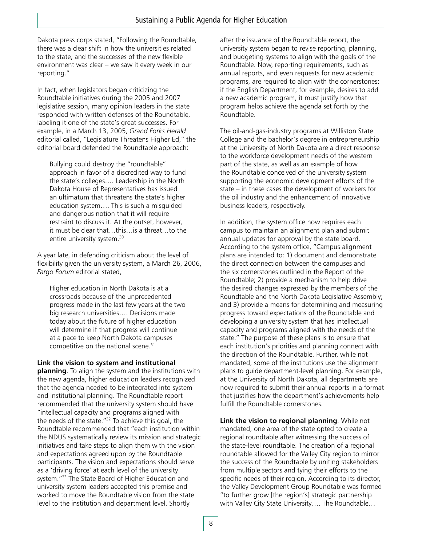Dakota press corps stated, "Following the Roundtable, there was a clear shift in how the universities related to the state, and the successes of the new flexible environment was clear – we saw it every week in our reporting."

In fact, when legislators began criticizing the Roundtable initiatives during the 2005 and 2007 legislative session, many opinion leaders in the state responded with written defenses of the Roundtable, labeling it one of the state's great successes. For example, in a March 13, 2005, *Grand Forks Herald* editorial called, "Legislature Threatens Higher Ed," the editorial board defended the Roundtable approach:

Bullying could destroy the "roundtable" approach in favor of a discredited way to fund the state's colleges…. Leadership in the North Dakota House of Representatives has issued an ultimatum that threatens the state's higher education system…. This is such a misguided and dangerous notion that it will require restraint to discuss it. At the outset, however, it must be clear that…this…is a threat…to the entire university system.30

A year late, in defending criticism about the level of flexibility given the university system, a March 26, 2006, *Fargo Forum* editorial stated,

Higher education in North Dakota is at a crossroads because of the unprecedented progress made in the last few years at the two big research universities…. Decisions made today about the future of higher education will determine if that progress will continue at a pace to keep North Dakota campuses competitive on the national scene.<sup>31</sup>

#### **Link the vision to system and institutional**

**planning**. To align the system and the institutions with the new agenda, higher education leaders recognized that the agenda needed to be integrated into system and institutional planning. The Roundtable report recommended that the university system should have "intellectual capacity and programs aligned with the needs of the state."32 To achieve this goal, the Roundtable recommended that "each institution within the NDUS systematically review its mission and strategic initiatives and take steps to align them with the vision and expectations agreed upon by the Roundtable participants. The vision and expectations should serve as a 'driving force' at each level of the university system."33 The State Board of Higher Education and university system leaders accepted this premise and worked to move the Roundtable vision from the state level to the institution and department level. Shortly

after the issuance of the Roundtable report, the university system began to revise reporting, planning, and budgeting systems to align with the goals of the Roundtable. Now, reporting requirements, such as annual reports, and even requests for new academic programs, are required to align with the cornerstones: if the English Department, for example, desires to add a new academic program, it must justify how that program helps achieve the agenda set forth by the Roundtable.

The oil-and-gas-industry programs at Williston State College and the bachelor's degree in entrepreneurship at the University of North Dakota are a direct response to the workforce development needs of the western part of the state, as well as an example of how the Roundtable conceived of the university system supporting the economic development efforts of the state – in these cases the development of workers for the oil industry and the enhancement of innovative business leaders, respectively.

In addition, the system office now requires each campus to maintain an alignment plan and submit annual updates for approval by the state board. According to the system office, "Campus alignment plans are intended to: 1) document and demonstrate the direct connection between the campuses and the six cornerstones outlined in the Report of the Roundtable; 2) provide a mechanism to help drive the desired changes expressed by the members of the Roundtable and the North Dakota Legislative Assembly; and 3) provide a means for determining and measuring progress toward expectations of the Roundtable and developing a university system that has intellectual capacity and programs aligned with the needs of the state." The purpose of these plans is to ensure that each institution's priorities and planning connect with the direction of the Roundtable. Further, while not mandated, some of the institutions use the alignment plans to guide department-level planning. For example, at the University of North Dakota, all departments are now required to submit their annual reports in a format that justifies how the department's achievements help fulfill the Roundtable cornerstones.

**Link the vision to regional planning**. While not mandated, one area of the state opted to create a regional roundtable after witnessing the success of the state-level roundtable. The creation of a regional roundtable allowed for the Valley City region to mirror the success of the Roundtable by uniting stakeholders from multiple sectors and tying their efforts to the specific needs of their region. According to its director, the Valley Development Group Roundtable was formed "to further grow [the region's] strategic partnership with Valley City State University…. The Roundtable…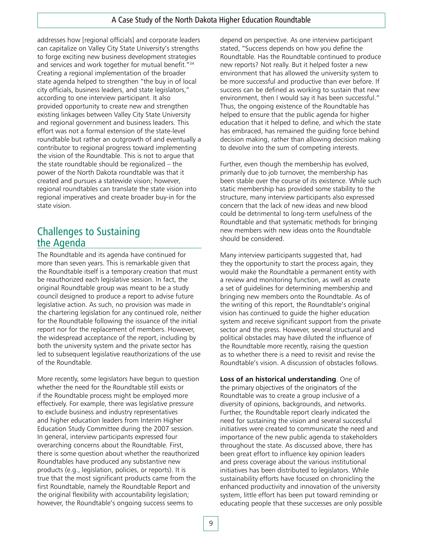addresses how [regional officials] and corporate leaders can capitalize on Valley City State University's strengths to forge exciting new business development strategies and services and work together for mutual benefit."34 Creating a regional implementation of the broader state agenda helped to strengthen "the buy in of local city officials, business leaders, and state legislators," according to one interview participant. It also provided opportunity to create new and strengthen existing linkages between Valley City State University and regional government and business leaders. This effort was not a formal extension of the state-level roundtable but rather an outgrowth of and eventually a contributor to regional progress toward implementing the vision of the Roundtable. This is not to argue that the state roundtable should be regionalized – the power of the North Dakota roundtable was that it created and pursues a statewide vision; however, regional roundtables can translate the state vision into regional imperatives and create broader buy-in for the state vision.

## Challenges to Sustaining the Agenda

The Roundtable and its agenda have continued for more than seven years. This is remarkable given that the Roundtable itself is a temporary creation that must be reauthorized each legislative session. In fact, the original Roundtable group was meant to be a study council designed to produce a report to advise future legislative action. As such, no provision was made in the chartering legislation for any continued role, neither for the Roundtable following the issuance of the initial report nor for the replacement of members. However, the widespread acceptance of the report, including by both the university system and the private sector has led to subsequent legislative reauthorizations of the use of the Roundtable.

More recently, some legislators have begun to question whether the need for the Roundtable still exists or if the Roundtable process might be employed more effectively. For example, there was legislative pressure to exclude business and industry representatives and higher education leaders from Interim Higher Education Study Committee during the 2007 session. In general, interview participants expressed four overarching concerns about the Roundtable. First, there is some question about whether the reauthorized Roundtables have produced any substantive new products (e.g., legislation, policies, or reports). It is true that the most significant products came from the first Roundtable, namely the Roundtable Report and the original flexibility with accountability legislation; however, the Roundtable's ongoing success seems to

depend on perspective. As one interview participant stated, "Success depends on how you define the Roundtable. Has the Roundtable continued to produce new reports? Not really. But it helped foster a new environment that has allowed the university system to be more successful and productive than ever before. If success can be defined as working to sustain that new environment, then I would say it has been successful." Thus, the ongoing existence of the Roundtable has helped to ensure that the public agenda for higher education that it helped to define, and which the state has embraced, has remained the guiding force behind decision making, rather than allowing decision making to devolve into the sum of competing interests.

Further, even though the membership has evolved, primarily due to job turnover, the membership has been stable over the course of its existence. While such static membership has provided some stability to the structure, many interview participants also expressed concern that the lack of new ideas and new blood could be detrimental to long-term usefulness of the Roundtable and that systematic methods for bringing new members with new ideas onto the Roundtable should be considered.

Many interview participants suggested that, had they the opportunity to start the process again, they would make the Roundtable a permanent entity with a review and monitoring function, as well as create a set of guidelines for determining membership and bringing new members onto the Roundtable. As of the writing of this report, the Roundtable's original vision has continued to guide the higher education system and receive significant support from the private sector and the press. However, several structural and political obstacles may have diluted the influence of the Roundtable more recently, raising the question as to whether there is a need to revisit and revise the Roundtable's vision. A discussion of obstacles follows.

**Loss of an historical understanding**. One of the primary objectives of the originators of the Roundtable was to create a group inclusive of a diversity of opinions, backgrounds, and networks. Further, the Roundtable report clearly indicated the need for sustaining the vision and several successful initiatives were created to communicate the need and importance of the new public agenda to stakeholders throughout the state. As discussed above, there has been great effort to influence key opinion leaders and press coverage about the various institutional initiatives has been distributed to legislators. While sustainability efforts have focused on chronicling the enhanced productivity and innovation of the university system, little effort has been put toward reminding or educating people that these successes are only possible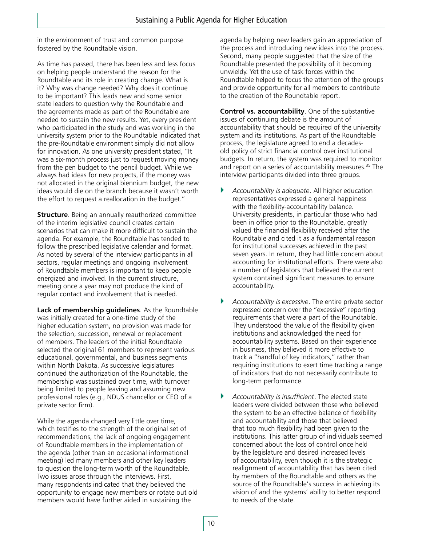in the environment of trust and common purpose fostered by the Roundtable vision.

As time has passed, there has been less and less focus on helping people understand the reason for the Roundtable and its role in creating change. What is it? Why was change needed? Why does it continue to be important? This leads new and some senior state leaders to question why the Roundtable and the agreements made as part of the Roundtable are needed to sustain the new results. Yet, every president who participated in the study and was working in the university system prior to the Roundtable indicated that the pre-Roundtable environment simply did not allow for innovation. As one university president stated, "It was a six-month process just to request moving money from the pen budget to the pencil budget. While we always had ideas for new projects, if the money was not allocated in the original biennium budget, the new ideas would die on the branch because it wasn't worth the effort to request a reallocation in the budget."

**Structure**. Being an annually reauthorized committee of the interim legislative council creates certain scenarios that can make it more difficult to sustain the agenda. For example, the Roundtable has tended to follow the prescribed legislative calendar and format. As noted by several of the interview participants in all sectors, regular meetings and ongoing involvement of Roundtable members is important to keep people energized and involved. In the current structure, meeting once a year may not produce the kind of regular contact and involvement that is needed.

**Lack of membership guidelines**. As the Roundtable was initially created for a one-time study of the higher education system, no provision was made for the selection, succession, renewal or replacement of members. The leaders of the initial Roundtable selected the original 61 members to represent various educational, governmental, and business segments within North Dakota. As successive legislatures continued the authorization of the Roundtable, the membership was sustained over time, with turnover being limited to people leaving and assuming new professional roles (e.g., NDUS chancellor or CEO of a private sector firm).

While the agenda changed very little over time, which testifies to the strength of the original set of recommendations, the lack of ongoing engagement of Roundtable members in the implementation of the agenda (other than an occasional informational meeting) led many members and other key leaders to question the long-term worth of the Roundtable. Two issues arose through the interviews. First, many respondents indicated that they believed the opportunity to engage new members or rotate out old members would have further aided in sustaining the

agenda by helping new leaders gain an appreciation of the process and introducing new ideas into the process. Second, many people suggested that the size of the Roundtable presented the possibility of it becoming unwieldy. Yet the use of task forces within the Roundtable helped to focus the attention of the groups and provide opportunity for all members to contribute to the creation of the Roundtable report.

**Control vs. accountability**. One of the substantive issues of continuing debate is the amount of accountability that should be required of the university system and its institutions. As part of the Roundtable process, the legislature agreed to end a decadesold policy of strict financial control over institutional budgets. In return, the system was required to monitor and report on a series of accountability measures.<sup>35</sup> The interview participants divided into three groups.

- ` *Accountability is adequate*. All higher education representatives expressed a general happiness with the flexibility-accountability balance. University presidents, in particular those who had been in office prior to the Roundtable, greatly valued the financial flexibility received after the Roundtable and cited it as a fundamental reason for institutional successes achieved in the past seven years. In return, they had little concern about accounting for institutional efforts. There were also a number of legislators that believed the current system contained significant measures to ensure accountability.
- ` *Accountability is excessive*. The entire private sector expressed concern over the "excessive" reporting requirements that were a part of the Roundtable. They understood the value of the flexibility given institutions and acknowledged the need for accountability systems. Based on their experience in business, they believed it more effective to track a "handful of key indicators," rather than requiring institutions to exert time tracking a range of indicators that do not necessarily contribute to long-term performance.
- ` *Accountability is insufficient*. The elected state leaders were divided between those who believed the system to be an effective balance of flexibility and accountability and those that believed that too much flexibility had been given to the institutions. This latter group of individuals seemed concerned about the loss of control once held by the legislature and desired increased levels of accountability, even though it is the strategic realignment of accountability that has been cited by members of the Roundtable and others as the source of the Roundtable's success in achieving its vision of and the systems' ability to better respond to needs of the state.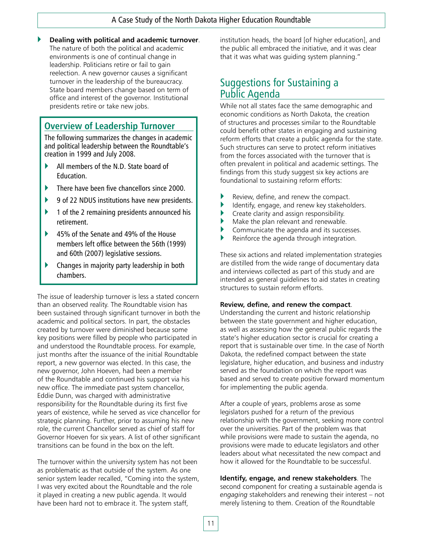` **Dealing with political and academic turnover**.

The nature of both the political and academic environments is one of continual change in leadership. Politicians retire or fail to gain reelection. A new governor causes a significant turnover in the leadership of the bureaucracy. State board members change based on term of office and interest of the governor. Institutional presidents retire or take new jobs.

### **Overview of Leadership Turnover**

The following summarizes the changes in academic and political leadership between the Roundtable's creation in 1999 and July 2008.

- ` All members of the N.D. State board of Education.
- ` There have been five chancellors since 2000.
- ` 9 of 22 NDUS institutions have new presidents.
- ` 1 of the 2 remaining presidents announced his retirement.
- ` 45% of the Senate and 49% of the House members left office between the 56th (1999) and 60th (2007) legislative sessions.
- ` Changes in majority party leadership in both chambers.

The issue of leadership turnover is less a stated concern than an observed reality. The Roundtable vision has been sustained through significant turnover in both the academic and political sectors. In part, the obstacles created by turnover were diminished because some key positions were filled by people who participated in and understood the Roundtable process. For example, just months after the issuance of the initial Roundtable report, a new governor was elected. In this case, the new governor, John Hoeven, had been a member of the Roundtable and continued his support via his new office. The immediate past system chancellor, Eddie Dunn, was charged with administrative responsibility for the Roundtable during its first five years of existence, while he served as vice chancellor for strategic planning. Further, prior to assuming his new role, the current Chancellor served as chief of staff for Governor Hoeven for six years. A list of other significant transitions can be found in the box on the left.

The turnover within the university system has not been as problematic as that outside of the system. As one senior system leader recalled, "Coming into the system, I was very excited about the Roundtable and the role it played in creating a new public agenda. It would have been hard not to embrace it. The system staff,

institution heads, the board [of higher education], and the public all embraced the initiative, and it was clear that it was what was guiding system planning."

## Suggestions for Sustaining a Public Agenda

While not all states face the same demographic and economic conditions as North Dakota, the creation of structures and processes similar to the Roundtable could benefit other states in engaging and sustaining reform efforts that create a public agenda for the state. Such structures can serve to protect reform initiatives from the forces associated with the turnover that is often prevalent in political and academic settings. The findings from this study suggest six key actions are foundational to sustaining reform efforts:

- Review, define, and renew the compact.
- Identify, engage, and renew key stakeholders.
- Create clarity and assign responsibility.
- ` Make the plan relevant and renewable.
- Communicate the agenda and its successes.
- Reinforce the agenda through integration.

These six actions and related implementation strategies are distilled from the wide range of documentary data and interviews collected as part of this study and are intended as general guidelines to aid states in creating structures to sustain reform efforts.

#### **Review, define, and renew the compact**.

Understanding the current and historic relationship between the state government and higher education, as well as assessing how the general public regards the state's higher education sector is crucial for creating a report that is sustainable over time. In the case of North Dakota, the redefined compact between the state legislature, higher education, and business and industry served as the foundation on which the report was based and served to create positive forward momentum for implementing the public agenda.

After a couple of years, problems arose as some legislators pushed for a return of the previous relationship with the government, seeking more control over the universities. Part of the problem was that while provisions were made to sustain the agenda, no provisions were made to educate legislators and other leaders about what necessitated the new compact and how it allowed for the Roundtable to be successful.

**Identify, engage, and renew stakeholders**. The second component for creating a sustainable agenda is *engaging* stakeholders and renewing their interest – not merely listening to them. Creation of the Roundtable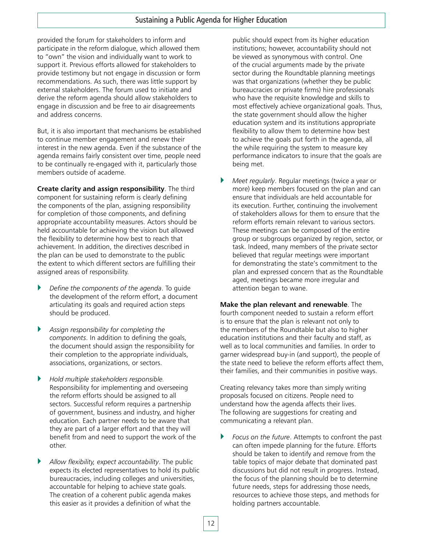provided the forum for stakeholders to inform and participate in the reform dialogue, which allowed them to "own" the vision and individually want to work to support it. Previous efforts allowed for stakeholders to provide testimony but not engage in discussion or form recommendations. As such, there was little support by external stakeholders. The forum used to initiate and derive the reform agenda should allow stakeholders to engage in discussion and be free to air disagreements and address concerns.

But, it is also important that mechanisms be established to continue member engagement and renew their interest in the new agenda. Even if the substance of the agenda remains fairly consistent over time, people need to be continually re-engaged with it, particularly those members outside of academe.

**Create clarity and assign responsibility**. The third component for sustaining reform is clearly defining the components of the plan, assigning responsibility for completion of those components, and defining appropriate accountability measures. Actors should be held accountable for achieving the vision but allowed the flexibility to determine how best to reach that achievement. In addition, the directives described in the plan can be used to demonstrate to the public the extent to which different sectors are fulfilling their assigned areas of responsibility.

- ` *Define the components of the agenda*. To guide the development of the reform effort, a document articulating its goals and required action steps should be produced.
- ` *Assign responsibility for completing the components*. In addition to defining the goals, the document should assign the responsibility for their completion to the appropriate individuals, associations, organizations, or sectors.
- ` *Hold multiple stakeholders responsible.* Responsibility for implementing and overseeing the reform efforts should be assigned to all sectors. Successful reform requires a partnership of government, business and industry, and higher education. Each partner needs to be aware that they are part of a larger effort and that they will benefit from and need to support the work of the other.
- ` *Allow flexibility, expect accountability*. The public expects its elected representatives to hold its public bureaucracies, including colleges and universities, accountable for helping to achieve state goals. The creation of a coherent public agenda makes this easier as it provides a definition of what the

public should expect from its higher education institutions; however, accountability should not be viewed as synonymous with control. One of the crucial arguments made by the private sector during the Roundtable planning meetings was that organizations (whether they be public bureaucracies or private firms) hire professionals who have the requisite knowledge and skills to most effectively achieve organizational goals. Thus, the state government should allow the higher education system and its institutions appropriate flexibility to allow them to determine how best to achieve the goals put forth in the agenda, all the while requiring the system to measure key performance indicators to insure that the goals are being met.

**Meet regularly. Regular meetings (twice a year or** more) keep members focused on the plan and can ensure that individuals are held accountable for its execution. Further, continuing the involvement of stakeholders allows for them to ensure that the reform efforts remain relevant to various sectors. These meetings can be composed of the entire group or subgroups organized by region, sector, or task. Indeed, many members of the private sector believed that regular meetings were important for demonstrating the state's commitment to the plan and expressed concern that as the Roundtable aged, meetings became more irregular and attention began to wane.

**Make the plan relevant and renewable**. The fourth component needed to sustain a reform effort is to ensure that the plan is relevant not only to the members of the Roundtable but also to higher education institutions and their faculty and staff, as well as to local communities and families. In order to garner widespread buy-in (and support), the people of the state need to believe the reform efforts affect them, their families, and their communities in positive ways.

Creating relevancy takes more than simply writing proposals focused on citizens. People need to understand how the agenda affects their lives. The following are suggestions for creating and communicating a relevant plan.

**Focus on the future. Attempts to confront the past** can often impede planning for the future. Efforts should be taken to identify and remove from the table topics of major debate that dominated past discussions but did not result in progress. Instead, the focus of the planning should be to determine future needs, steps for addressing those needs, resources to achieve those steps, and methods for holding partners accountable.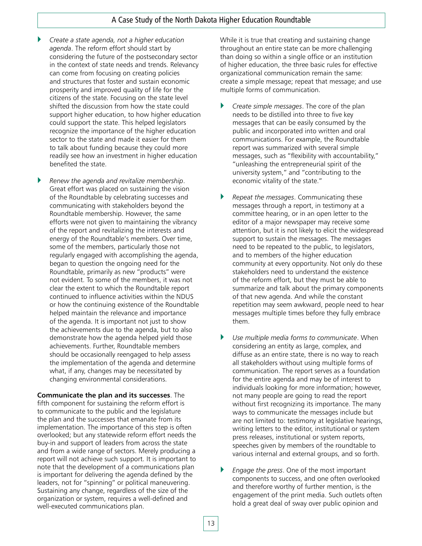- ` *Create a state agenda, not a higher education agenda*. The reform effort should start by considering the future of the postsecondary sector in the context of state needs and trends. Relevancy can come from focusing on creating policies and structures that foster and sustain economic prosperity and improved quality of life for the citizens of the state. Focusing on the state level shifted the discussion from how the state could support higher education, to how higher education could support the state. This helped legislators recognize the importance of the higher education sector to the state and made it easier for them to talk about funding because they could more readily see how an investment in higher education benefited the state.
- ` *Renew the agenda and revitalize membership*. Great effort was placed on sustaining the vision of the Roundtable by celebrating successes and communicating with stakeholders beyond the Roundtable membership. However, the same efforts were not given to maintaining the vibrancy of the report and revitalizing the interests and energy of the Roundtable's members. Over time, some of the members, particularly those not regularly engaged with accomplishing the agenda, began to question the ongoing need for the Roundtable, primarily as new "products" were not evident. To some of the members, it was not clear the extent to which the Roundtable report continued to influence activities within the NDUS or how the continuing existence of the Roundtable helped maintain the relevance and importance of the agenda. It is important not just to show the achievements due to the agenda, but to also demonstrate how the agenda helped yield those achievements. Further, Roundtable members should be occasionally reengaged to help assess the implementation of the agenda and determine what, if any, changes may be necessitated by changing environmental considerations.

**Communicate the plan and its successes**. The fifth component for sustaining the reform effort is to communicate to the public and the legislature the plan and the successes that emanate from its implementation. The importance of this step is often overlooked; but any statewide reform effort needs the buy-in and support of leaders from across the state and from a wide range of sectors. Merely producing a report will not achieve such support. It is important to note that the development of a communications plan is important for delivering the agenda defined by the leaders, not for "spinning" or political maneuvering. Sustaining any change, regardless of the size of the organization or system, requires a well-defined and well-executed communications plan.

While it is true that creating and sustaining change throughout an entire state can be more challenging than doing so within a single office or an institution of higher education, the three basic rules for effective organizational communication remain the same: create a simple message; repeat that message; and use multiple forms of communication.

- ` *Create simple messages*. The core of the plan needs to be distilled into three to five key messages that can be easily consumed by the public and incorporated into written and oral communications. For example, the Roundtable report was summarized with several simple messages, such as "flexibility with accountability," "unleashing the entrepreneurial spirit of the university system," and "contributing to the economic vitality of the state."
- ` *Repeat the messages*. Communicating these messages through a report, in testimony at a committee hearing, or in an open letter to the editor of a major newspaper may receive some attention, but it is not likely to elicit the widespread support to sustain the messages. The messages need to be repeated to the public, to legislators, and to members of the higher education community at every opportunity. Not only do these stakeholders need to understand the existence of the reform effort, but they must be able to summarize and talk about the primary components of that new agenda. And while the constant repetition may seem awkward, people need to hear messages multiple times before they fully embrace them.
- ` *Use multiple media forms to communicate*. When considering an entity as large, complex, and diffuse as an entire state, there is no way to reach all stakeholders without using multiple forms of communication. The report serves as a foundation for the entire agenda and may be of interest to individuals looking for more information; however, not many people are going to read the report without first recognizing its importance. The many ways to communicate the messages include but are not limited to: testimony at legislative hearings, writing letters to the editor, institutional or system press releases, institutional or system reports, speeches given by members of the roundtable to various internal and external groups, and so forth.
- ` *Engage the press*. One of the most important components to success, and one often overlooked and therefore worthy of further mention, is the engagement of the print media. Such outlets often hold a great deal of sway over public opinion and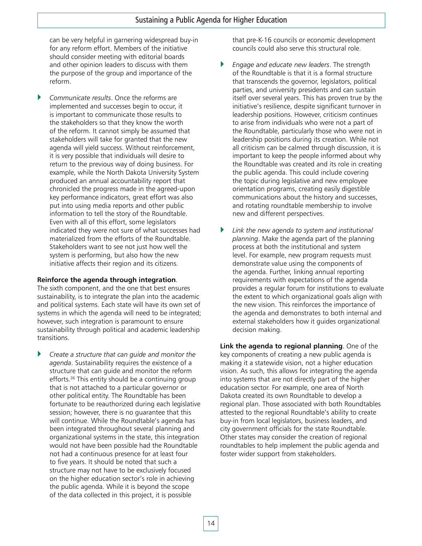can be very helpful in garnering widespread buy-in for any reform effort. Members of the initiative should consider meeting with editorial boards and other opinion leaders to discuss with them the purpose of the group and importance of the reform.

` *Communicate results*. Once the reforms are implemented and successes begin to occur, it is important to communicate those results to the stakeholders so that they know the worth of the reform. It cannot simply be assumed that stakeholders will take for granted that the new agenda will yield success. Without reinforcement, it is very possible that individuals will desire to return to the previous way of doing business. For example, while the North Dakota University System produced an annual accountability report that chronicled the progress made in the agreed-upon key performance indicators, great effort was also put into using media reports and other public information to tell the story of the Roundtable. Even with all of this effort, some legislators indicated they were not sure of what successes had materialized from the efforts of the Roundtable. Stakeholders want to see not just how well the system is performing, but also how the new initiative affects their region and its citizens.

#### **Reinforce the agenda through integration**.

The sixth component, and the one that best ensures sustainability, is to integrate the plan into the academic and political systems. Each state will have its own set of systems in which the agenda will need to be integrated; however, such integration is paramount to ensure sustainability through political and academic leadership transitions.

` *Create a structure that can guide and monitor the agenda*. Sustainability requires the existence of a structure that can guide and monitor the reform efforts.<sup>36</sup> This entity should be a continuing group that is not attached to a particular governor or other political entity. The Roundtable has been fortunate to be reauthorized during each legislative session; however, there is no guarantee that this will continue. While the Roundtable's agenda has been integrated throughout several planning and organizational systems in the state, this integration would not have been possible had the Roundtable not had a continuous presence for at least four to five years. It should be noted that such a structure may not have to be exclusively focused on the higher education sector's role in achieving the public agenda. While it is beyond the scope of the data collected in this project, it is possible

that pre-K-16 councils or economic development councils could also serve this structural role.

- ` *Engage and educate new leaders*. The strength of the Roundtable is that it is a formal structure that transcends the governor, legislators, political parties, and university presidents and can sustain itself over several years. This has proven true by the initiative's resilience, despite significant turnover in leadership positions. However, criticism continues to arise from individuals who were not a part of the Roundtable, particularly those who were not in leadership positions during its creation. While not all criticism can be calmed through discussion, it is important to keep the people informed about why the Roundtable was created and its role in creating the public agenda. This could include covering the topic during legislative and new employee orientation programs, creating easily digestible communications about the history and successes, and rotating roundtable membership to involve new and different perspectives.
- ` *Link the new agenda to system and institutional planning*. Make the agenda part of the planning process at both the institutional and system level. For example, new program requests must demonstrate value using the components of the agenda. Further, linking annual reporting requirements with expectations of the agenda provides a regular forum for institutions to evaluate the extent to which organizational goals align with the new vision. This reinforces the importance of the agenda and demonstrates to both internal and external stakeholders how it guides organizational decision making.

**Link the agenda to regional planning**. One of the key components of creating a new public agenda is making it a statewide vision, not a higher education vision. As such, this allows for integrating the agenda into systems that are not directly part of the higher education sector. For example, one area of North Dakota created its own Roundtable to develop a regional plan. Those associated with both Roundtables attested to the regional Roundtable's ability to create buy-in from local legislators, business leaders, and city government officials for the state Roundtable. Other states may consider the creation of regional roundtables to help implement the public agenda and foster wider support from stakeholders.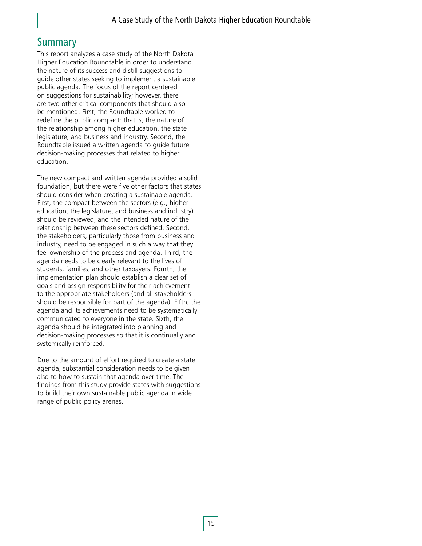### **Summary**

This report analyzes a case study of the North Dakota Higher Education Roundtable in order to understand the nature of its success and distill suggestions to guide other states seeking to implement a sustainable public agenda. The focus of the report centered on suggestions for sustainability; however, there are two other critical components that should also be mentioned. First, the Roundtable worked to redefine the public compact: that is, the nature of the relationship among higher education, the state legislature, and business and industry. Second, the Roundtable issued a written agenda to guide future decision-making processes that related to higher education.

The new compact and written agenda provided a solid foundation, but there were five other factors that states should consider when creating a sustainable agenda. First, the compact between the sectors (e.g., higher education, the legislature, and business and industry) should be reviewed, and the intended nature of the relationship between these sectors defined. Second, the stakeholders, particularly those from business and industry, need to be engaged in such a way that they feel ownership of the process and agenda. Third, the agenda needs to be clearly relevant to the lives of students, families, and other taxpayers. Fourth, the implementation plan should establish a clear set of goals and assign responsibility for their achievement to the appropriate stakeholders (and all stakeholders should be responsible for part of the agenda). Fifth, the agenda and its achievements need to be systematically communicated to everyone in the state. Sixth, the agenda should be integrated into planning and decision-making processes so that it is continually and systemically reinforced.

Due to the amount of effort required to create a state agenda, substantial consideration needs to be given also to how to sustain that agenda over time. The findings from this study provide states with suggestions to build their own sustainable public agenda in wide range of public policy arenas.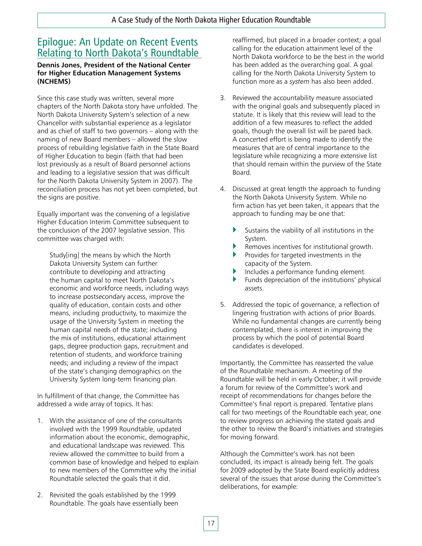## Epilogue: An Update on Recent Events Relating to North Dakota's Roundtable

#### **Dennis Jones, President of the National Center for Higher Education Management Systems (NCHEMS)**

Since this case study was written, several more chapters of the North Dakota story have unfolded. The North Dakota University System's selection of a new Chancellor with substantial experience as a legislator and as chief of staff to two governors – along with the naming of new Board members – allowed the slow process of rebuilding legislative faith in the State Board of Higher Education to begin (faith that had been lost previously as a result of Board personnel actions and leading to a legislative session that was difficult for the North Dakota University System in 2007). The reconciliation process has not yet been completed, but the signs are positive.

Equally important was the convening of a legislative Higher Education Interim Committee subsequent to the conclusion of the 2007 legislative session. This committee was charged with:

Study[ing] the means by which the North Dakota University System can further contribute to developing and attracting the human capital to meet North Dakota's economic and workforce needs, including ways to increase postsecondary access, improve the quality of education, contain costs and other means, including productivity, to maximize the usage of the University System in meeting the human capital needs of the state; including the mix of institutions, educational attainment gaps, degree production gaps, recruitment and retention of students, and workforce training needs; and including a review of the impact of the state's changing demographics on the University System long-term financing plan.

In fulfillment of that change, the Committee has addressed a wide array of topics. It has:

- 1. With the assistance of one of the consultants involved with the 1999 Roundtable, updated information about the economic, demographic, and educational landscape was reviewed. This review allowed the committee to build from a common base of knowledge and helped to explain to new members of the Committee why the initial Roundtable selected the goals that it did.
- 2. Revisited the goals established by the 1999 Roundtable. The goals have essentially been

reaffirmed, but placed in a broader context; a goal calling for the education attainment level of the North Dakota workforce to be the best in the world has been added as the overarching goal. A goal calling for the North Dakota University System to function more as a *system* has also been added.

- 3. Reviewed the accountability measure associated with the original goals and subsequently placed in statute. It is likely that this review will lead to the addition of a few measures to reflect the added goals, though the overall list will be pared back. A concerted effort is being made to identify the measures that are of central importance to the legislature while recognizing a more extensive list that should remain within the purview of the State Board.
- 4. Discussed at great length the approach to funding the North Dakota University System. While no firm action has yet been taken, it appears that the approach to funding may be one that:
	- $\blacktriangleright$  Sustains the viability of all institutions in the System.
	- $\blacktriangleright$  Removes incentives for institutional growth.
	- $\blacktriangleright$  Provides for targeted investments in the capacity of the System.
	- ` Includes a performance funding element.
	- $\blacktriangleright$  Funds depreciation of the institutions' physical assets.
- 5. Addressed the topic of governance, a reflection of lingering frustration with actions of prior Boards. While no fundamental changes are currently being contemplated, there is interest in improving the process by which the pool of potential Board candidates is developed.

Importantly, the Committee has reasserted the value of the Roundtable mechanism. A meeting of the Roundtable will be held in early October; it will provide a forum for review of the Committee's work and receipt of recommendations for changes before the Committee's final report is prepared. Tentative plans call for two meetings of the Roundtable each year, one to review progress on achieving the stated goals and the other to review the Board's initiatives and strategies for moving forward.

Although the Committee's work has not been concluded, its impact is already being felt. The goals for 2009 adopted by the State Board explicitly address several of the issues that arose during the Committee's deliberations, for example: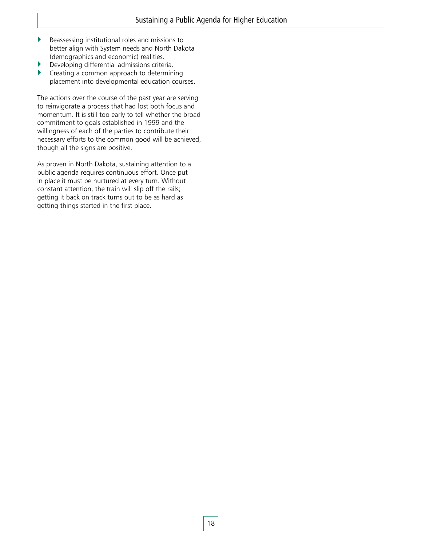- $\blacktriangleright$  Reassessing institutional roles and missions to better align with System needs and North Dakota (demographics and economic) realities.
- ` Developing differential admissions criteria.
- $\blacktriangleright$  Creating a common approach to determining placement into developmental education courses.

The actions over the course of the past year are serving to reinvigorate a process that had lost both focus and momentum. It is still too early to tell whether the broad commitment to goals established in 1999 and the willingness of each of the parties to contribute their necessary efforts to the common good will be achieved, though all the signs are positive.

As proven in North Dakota, sustaining attention to a public agenda requires continuous effort. Once put in place it must be nurtured at every turn. Without constant attention, the train will slip off the rails; getting it back on track turns out to be as hard as getting things started in the first place.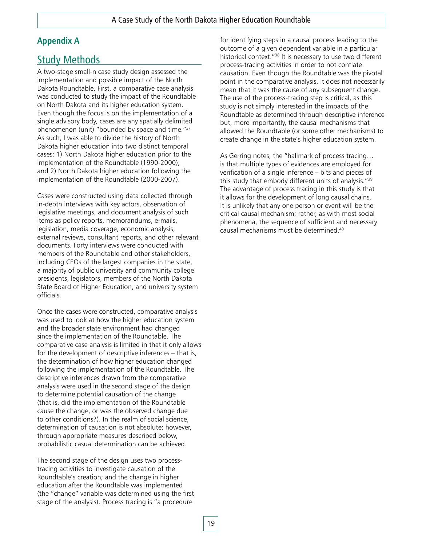### **Appendix A**

## Study Methods

A two-stage small-n case study design assessed the implementation and possible impact of the North Dakota Roundtable. First, a comparative case analysis was conducted to study the impact of the Roundtable on North Dakota and its higher education system. Even though the focus is on the implementation of a single advisory body, cases are any spatially delimited phenomenon (unit) "bounded by space and time."37 As such, I was able to divide the history of North Dakota higher education into two distinct temporal cases: 1) North Dakota higher education prior to the implementation of the Roundtable (1990-2000); and 2) North Dakota higher education following the implementation of the Roundtable (2000-2007).

Cases were constructed using data collected through in-depth interviews with key actors, observation of legislative meetings, and document analysis of such items as policy reports, memorandums, e-mails, legislation, media coverage, economic analysis, external reviews, consultant reports, and other relevant documents. Forty interviews were conducted with members of the Roundtable and other stakeholders, including CEOs of the largest companies in the state, a majority of public university and community college presidents, legislators, members of the North Dakota State Board of Higher Education, and university system officials.

Once the cases were constructed, comparative analysis was used to look at how the higher education system and the broader state environment had changed since the implementation of the Roundtable. The comparative case analysis is limited in that it only allows for the development of descriptive inferences – that is, the determination of how higher education changed following the implementation of the Roundtable. The descriptive inferences drawn from the comparative analysis were used in the second stage of the design to determine potential causation of the change (that is, did the implementation of the Roundtable cause the change, or was the observed change due to other conditions?). In the realm of social science, determination of causation is not absolute; however, through appropriate measures described below, probabilistic casual determination can be achieved.

The second stage of the design uses two processtracing activities to investigate causation of the Roundtable's creation; and the change in higher education after the Roundtable was implemented (the "change" variable was determined using the first stage of the analysis). Process tracing is "a procedure

for identifying steps in a causal process leading to the outcome of a given dependent variable in a particular historical context."38 It is necessary to use two different process-tracing activities in order to not conflate causation. Even though the Roundtable was the pivotal point in the comparative analysis, it does not necessarily mean that it was the cause of any subsequent change. The use of the process-tracing step is critical, as this study is not simply interested in the impacts of the Roundtable as determined through descriptive inference but, more importantly, the causal mechanisms that allowed the Roundtable (or some other mechanisms) to create change in the state's higher education system.

As Gerring notes, the "hallmark of process tracing… is that multiple types of evidences are employed for verification of a single inference – bits and pieces of this study that embody different units of analysis."39 The advantage of process tracing in this study is that it allows for the development of long causal chains. It is unlikely that any one person or event will be the critical causal mechanism; rather, as with most social phenomena, the sequence of sufficient and necessary causal mechanisms must be determined.40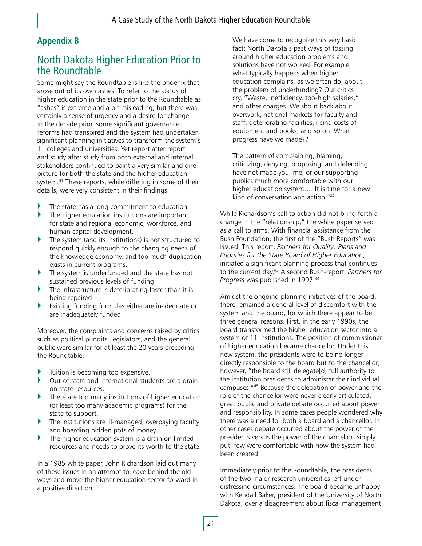### **Appendix B**

## North Dakota Higher Education Prior to the Roundtable

Some might say the Roundtable is like the phoenix that arose out of its own ashes. To refer to the status of higher education in the state prior to the Roundtable as "ashes" is extreme and a bit misleading; but there was certainly a sense of urgency and a desire for change. In the decade prior, some significant governance reforms had transpired and the system had undertaken significant planning initiatives to transform the system's 11 colleges and universities. Yet report after report and study after study from both external and internal stakeholders continued to paint a very similar and dire picture for both the state and the higher education system.<sup>41</sup> These reports, while differing in some of their details, were very consistent in their findings:

- The state has a long commitment to education.
- $\blacktriangleright$  The higher education institutions are important for state and regional economic, workforce, and human capital development.
- ` The system (and its institutions) is not structured to respond quickly enough to the changing needs of the knowledge economy, and too much duplication exists in current programs.
- The system is underfunded and the state has not sustained previous levels of funding.
- The infrastructure is deteriorating faster than it is being repaired.
- Existing funding formulas either are inadequate or are inadequately funded.

Moreover, the complaints and concerns raised by critics such as political pundits, legislators, and the general public were similar for at least the 20 years preceding the Roundtable.

- Tuition is becoming too expensive.
- ` Out-of-state and international students are a drain on state resources.
- There are too many institutions of higher education (or least too many academic programs) for the state to support.
- ` The institutions are ill-managed, overpaying faculty and hoarding hidden pots of money.
- The higher education system is a drain on limited resources and needs to prove its worth to the state.

In a 1985 white paper, John Richardson laid out many of these issues in an attempt to leave behind the old ways and move the higher education sector forward in a positive direction:

We have come to recognize this very basic fact: North Dakota's past ways of tossing around higher education problems and solutions have not worked. For example, what typically happens when higher education complains, as we often do, about the problem of underfunding? Our critics cry, "Waste, inefficiency, too-high salaries," and other charges. We shout back about overwork, national markets for faculty and staff, deteriorating facilities, rising costs of equipment and books, and so on. What progress have we made??

The pattern of complaining, blaming, criticizing, denying, proposing, and defending have not made you, me, or our supporting publics much more comfortable with our higher education system…. It is time for a new kind of conversation and action."42

While Richardson's call to action did not bring forth a change in the "relationship," the white paper served as a call to arms. With financial assistance from the Bush Foundation, the first of the "Bush Reports" was issued. This report, *Partners for Quality: Plans and Priorities for the State Board of Higher Education*, initiated a significant planning process that continues to the current day.43 A second Bush-report, *Partners for Progress* was published in 1997.44

Amidst the ongoing planning initiatives of the board, there remained a general level of discomfort with the system and the board, for which there appear to be three general reasons. First, in the early 1990s, the board transformed the higher education sector into a system of 11 institutions. The position of commissioner of higher education became chancellor. Under this new system, the presidents were to be no longer directly responsible to the board but to the chancellor; however, "the board still delegate[d] full authority to the institution presidents to administer their individual campuses."45 Because the delegation of power and the role of the chancellor were never clearly articulated, great public and private debate occurred about power and responsibility. In some cases people wondered why there was a need for both a board and a chancellor. In other cases debate occurred about the power of the presidents versus the power of the chancellor. Simply put, few were comfortable with how the system had been created.

Immediately prior to the Roundtable, the presidents of the two major research universities left under distressing circumstances. The board became unhappy with Kendall Baker, president of the University of North Dakota, over a disagreement about fiscal management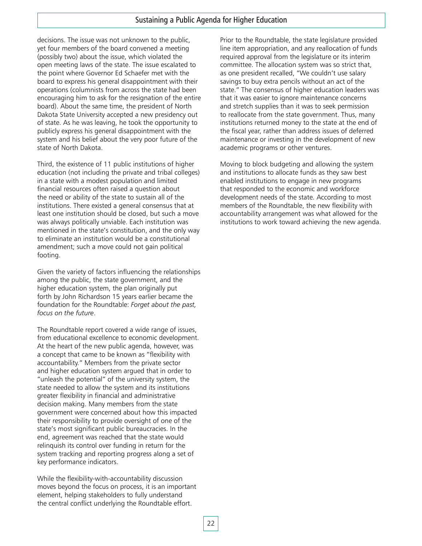decisions. The issue was not unknown to the public, yet four members of the board convened a meeting (possibly two) about the issue, which violated the open meeting laws of the state. The issue escalated to the point where Governor Ed Schaefer met with the board to express his general disappointment with their operations (columnists from across the state had been encouraging him to ask for the resignation of the entire board). About the same time, the president of North Dakota State University accepted a new presidency out of state. As he was leaving, he took the opportunity to publicly express his general disappointment with the system and his belief about the very poor future of the state of North Dakota.

Third, the existence of 11 public institutions of higher education (not including the private and tribal colleges) in a state with a modest population and limited financial resources often raised a question about the need or ability of the state to sustain all of the institutions. There existed a general consensus that at least one institution should be closed, but such a move was always politically unviable. Each institution was mentioned in the state's constitution, and the only way to eliminate an institution would be a constitutional amendment; such a move could not gain political footing.

Given the variety of factors influencing the relationships among the public, the state government, and the higher education system, the plan originally put forth by John Richardson 15 years earlier became the foundation for the Roundtable: *Forget about the past, focus on the future*.

The Roundtable report covered a wide range of issues, from educational excellence to economic development. At the heart of the new public agenda, however, was a concept that came to be known as "flexibility with accountability." Members from the private sector and higher education system argued that in order to "unleash the potential" of the university system, the state needed to allow the system and its institutions greater flexibility in financial and administrative decision making. Many members from the state government were concerned about how this impacted their responsibility to provide oversight of one of the state's most significant public bureaucracies. In the end, agreement was reached that the state would relinquish its control over funding in return for the system tracking and reporting progress along a set of key performance indicators.

While the flexibility-with-accountability discussion moves beyond the focus on process, it is an important element, helping stakeholders to fully understand the central conflict underlying the Roundtable effort.

Prior to the Roundtable, the state legislature provided line item appropriation, and any reallocation of funds required approval from the legislature or its interim committee. The allocation system was so strict that, as one president recalled, "We couldn't use salary savings to buy extra pencils without an act of the state." The consensus of higher education leaders was that it was easier to ignore maintenance concerns and stretch supplies than it was to seek permission to reallocate from the state government. Thus, many institutions returned money to the state at the end of the fiscal year, rather than address issues of deferred maintenance or investing in the development of new academic programs or other ventures.

Moving to block budgeting and allowing the system and institutions to allocate funds as they saw best enabled institutions to engage in new programs that responded to the economic and workforce development needs of the state. According to most members of the Roundtable, the new flexibility with accountability arrangement was what allowed for the institutions to work toward achieving the new agenda.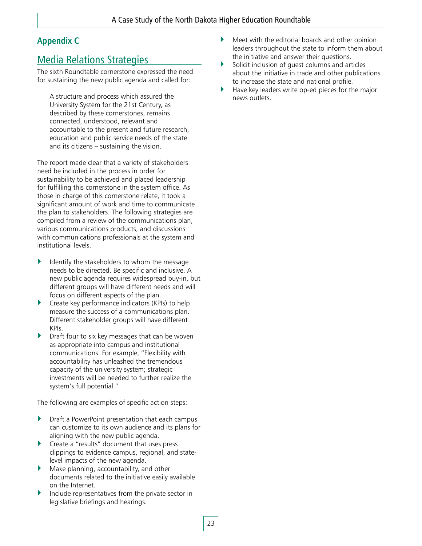### **Appendix C**

## Media Relations Strategies

The sixth Roundtable cornerstone expressed the need for sustaining the new public agenda and called for:

A structure and process which assured the University System for the 21st Century, as described by these cornerstones, remains connected, understood, relevant and accountable to the present and future research, education and public service needs of the state and its citizens – sustaining the vision.

The report made clear that a variety of stakeholders need be included in the process in order for sustainability to be achieved and placed leadership for fulfilling this cornerstone in the system office. As those in charge of this cornerstone relate, it took a significant amount of work and time to communicate the plan to stakeholders. The following strategies are compiled from a review of the communications plan, various communications products, and discussions with communications professionals at the system and institutional levels.

- Identify the stakeholders to whom the message needs to be directed. Be specific and inclusive. A new public agenda requires widespread buy-in, but different groups will have different needs and will focus on different aspects of the plan.
- $\triangleright$  Create key performance indicators (KPIs) to help measure the success of a communications plan. Different stakeholder groups will have different KPIs.
- Draft four to six key messages that can be woven as appropriate into campus and institutional communications. For example, "Flexibility with accountability has unleashed the tremendous capacity of the university system; strategic investments will be needed to further realize the system's full potential."

The following are examples of specific action steps:

- ` Draft a PowerPoint presentation that each campus can customize to its own audience and its plans for aligning with the new public agenda.
- ` Create a "results" document that uses press clippings to evidence campus, regional, and statelevel impacts of the new agenda.
- $\blacktriangleright$  Make planning, accountability, and other documents related to the initiative easily available on the Internet.
- Include representatives from the private sector in legislative briefings and hearings.
- $\blacktriangleright$  Meet with the editorial boards and other opinion leaders throughout the state to inform them about the initiative and answer their questions.
- $\blacktriangleright$  Solicit inclusion of quest columns and articles about the initiative in trade and other publications to increase the state and national profile.
- Have key leaders write op-ed pieces for the major news outlets.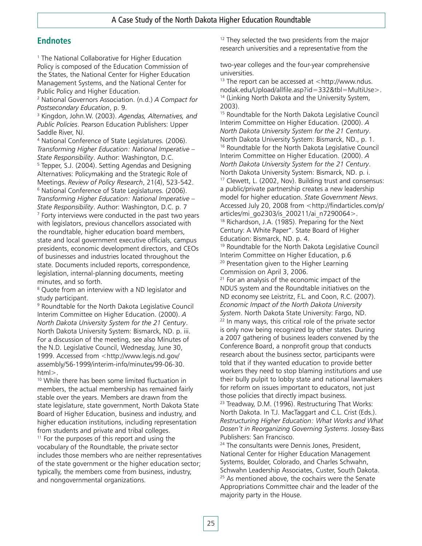### **Endnotes**

<sup>1</sup> The National Collaborative for Higher Education Policy is composed of the Education Commission of the States, the National Center for Higher Education Management Systems, and the National Center for Public Policy and Higher Education.

2 National Governors Association. (n.d.) *A Compact for Postsecondary Education*, p. 9.

3 Kingdon, John.W. (2003). *Agendas, Alternatives, and Public Policies*. Pearson Education Publishers: Upper Saddle River, NJ.

4 National Conference of State Legislatures. (2006). *Transforming Higher Education: National Imperative – State Responsibility*. Author: Washington, D.C. 5 <sup>5</sup> Tepper, S.J. (2004). Setting Agendas and Designing Alternatives: Policymaking and the Strategic Role of Meetings. *Review of Policy Research*, 21(4), 523-542. 6 <sup>6</sup> National Conference of State Legislatures. (2006). *Transforming Higher Education: National Imperative – State Responsibility*. Author: Washington, D.C. p. 7 7 Forty interviews were conducted in the past two years with legislators, previous chancellors associated with the roundtable, higher education board members, state and local government executive officials, campus presidents, economic development directors, and CEOs of businesses and industries located throughout the state. Documents included reports, correspondence, legislation, internal-planning documents, meeting minutes, and so forth.

<sup>8</sup> Quote from an interview with a ND legislator and study participant.

9 Roundtable for the North Dakota Legislative Council Interim Committee on Higher Education. (2000). *A North Dakota University System for the 21 Century*. North Dakota University System: Bismarck, ND. p. iii. For a discussion of the meeting, see also Minutes of the N.D. Legislative Council, Wednesday, June 30, 1999. Accessed from <http://www.legis.nd.gov/ assembly/56-1999/interim-info/minutes/99-06-30. html>.

10 While there has been some limited fluctuation in members, the actual membership has remained fairly stable over the years. Members are drawn from the state legislature, state government, North Dakota State Board of Higher Education, business and industry, and higher education institutions, including representation from students and private and tribal colleges.  $11$  For the purposes of this report and using the vocabulary of the Roundtable, the private sector includes those members who are neither representatives of the state government or the higher education sector; typically, the members come from business, industry, and nongovernmental organizations.

 $12$  They selected the two presidents from the major research universities and a representative from the

two-year colleges and the four-year comprehensive universities.

<sup>13</sup> The report can be accessed at  $\lt$ http://www.ndus. nodak.edu/Upload/allfile.asp?id=332&tbl=MultiUse>. <sup>14</sup> (Linking North Dakota and the University System, 2003).

15 Roundtable for the North Dakota Legislative Council Interim Committee on Higher Education. (2000). *A North Dakota University System for the 21 Century*. North Dakota University System: Bismarck, ND., p. 1. <sup>16</sup> Roundtable for the North Dakota Legislative Council Interim Committee on Higher Education. (2000). *A North Dakota University System for the 21 Century*. North Dakota University System: Bismarck, ND. p. i. 17 Clewett, L. (2002, Nov). Building trust and consensus: a public/private partnership creates a new leadership model for higher education. *State Government News*. Accessed July 20, 2008 from <http://findarticles.com/p/ articles/mi\_go2303/is\_200211/ai\_n7290064>. <sup>18</sup> Richardson, J.A. (1985). Preparing for the Next Century: A White Paper". State Board of Higher Education: Bismarck, ND. p. 4.

19 Roundtable for the North Dakota Legislative Council Interim Committee on Higher Education, p.6 <sup>20</sup> Presentation given to the Higher Learning Commission on April 3, 2006.

 $21$  For an analysis of the economic impact of the NDUS system and the Roundtable initiatives on the ND economy see Leistritz, F.L. and Coon, R.C. (2007). *Economic Impact of the North Dakota University System*. North Dakota State University: Fargo, ND.<br><sup>22</sup> In many ways, this critical role of the private sector is only now being recognized by other states. During a 2007 gathering of business leaders convened by the Conference Board, a nonprofit group that conducts research about the business sector, participants were told that if they wanted education to provide better workers they need to stop blaming institutions and use their bully pulpit to lobby state and national lawmakers for reform on issues important to educators, not just those policies that directly impact business.

<sup>23</sup> Treadway, D.M. (1996). Restructuring That Works: North Dakota. In T.J. MacTaggart and C.L. Crist (Eds.). *Restructuring Higher Education: What Works and What Dosen't in Reorganizing Governing Systems*. Jossey-Bass Publishers: San Francisco.

<sup>24</sup> The consultants were Dennis Jones, President, National Center for Higher Education Management Systems, Boulder, Colorado, and Charles Schwahn, Schwahn Leadership Associates, Custer, South Dakota. <sup>25</sup> As mentioned above, the cochairs were the Senate Appropriations Committee chair and the leader of the majority party in the House.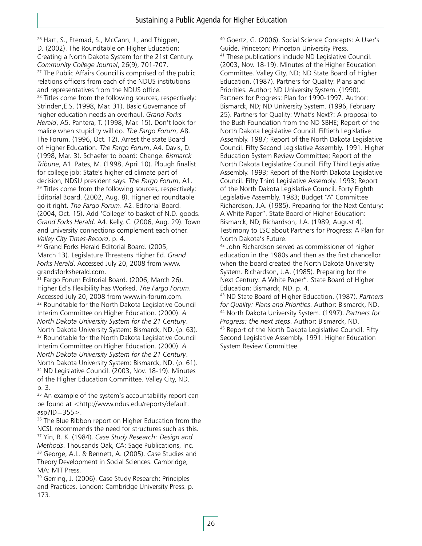<sup>26</sup> Hart, S., Etemad, S., McCann, J., and Thigpen, D. (2002). The Roundtable on Higher Education: Creating a North Dakota System for the 21st Century. *Community College Journal, 26(9), 701-707.* 2000 *27* The Public Affairs Council is comprised of the public relations officers from each of the NDUS institutions and representatives from the NDUS office. <sup>28</sup> Titles come from the following sources, respectively: Strinden,E.S. (1998, Mar. 31). Basic Governance of higher education needs an overhaul. *Grand Forks Herald*, A5. Pantera, T. (1998, Mar. 15). Don't look for malice when stupidity will do. *The Fargo Forum*, A8. The Forum. (1996, Oct. 12). Arrest the state Board of Higher Education. *The Fargo Forum*, A4. Davis, D. (1998, Mar. 3). Schaefer to board: Change. *Bismarck Tribune*, A1. Pates, M. (1998, April 10). Plough finalist for college job: State's higher ed climate part of decision, NDSU president says. *The Fargo Forum*, A1.<br><sup>29</sup> Titles come from the following sources, respectively: Editorial Board. (2002, Aug. 8). Higher ed roundtable go it right. *The Fargo Forum*. A2. Editorial Board. (2004, Oct. 15). Add 'College' to basket of N.D. goods. *Grand Forks Herald*. A4. Kelly, C. (2006, Aug. 29). Town and university connections complement each other.

*Valley City Times-Record*, p. 4.<br><sup>30</sup> Grand Forks Herald Editorial Board. (2005, March 13). Legislature Threatens Higher Ed. *Grand Forks Herald*. Accessed July 20, 2008 from www. grandsforksherald.com.

<sup>31</sup> Fargo Forum Editorial Board. (2006, March 26). Higher Ed's Flexibility has Worked. *The Fargo Forum*. Accessed July 20, 2008 from www.in-forum.com. <sup>32</sup> Roundtable for the North Dakota Legislative Council Interim Committee on Higher Education. (2000). *A North Dakota University System for the 21 Century*. North Dakota University System: Bismarck, ND. (p. 63). <sup>33</sup> Roundtable for the North Dakota Legislative Council Interim Committee on Higher Education. (2000). *A North Dakota University System for the 21 Century*. North Dakota University System: Bismarck, ND. (p. 61). <sup>34</sup> ND Legislative Council. (2003, Nov. 18-19). Minutes of the Higher Education Committee. Valley City, ND. p. 3.

<sup>35</sup> An example of the system's accountability report can be found at <http://www.ndus.edu/reports/default. asp?ID=355>.

<sup>36</sup> The Blue Ribbon report on Higher Education from the NCSL recommends the need for structures such as this. 37 Yin, R. K. (1984). *Case Study Research: Design and Methods*. Thousands Oak, CA: Sage Publications, Inc.<br><sup>38</sup> George, A.L. & Bennett, A. (2005). Case Studies and Theory Development in Social Sciences. Cambridge, MA: MIT Press.

39 Gerring, J. (2006). Case Study Research: Principles and Practices. London: Cambridge University Press. p. 173.

40 Goertz, G. (2006). Social Science Concepts: A User's Guide. Princeton: Princeton University Press. <sup>41</sup> These publications include ND Legislative Council. (2003, Nov. 18-19). Minutes of the Higher Education Committee. Valley City, ND; ND State Board of Higher Education. (1987). Partners for Quality: Plans and Priorities. Author; ND University System. (1990). Partners for Progress: Plan for 1990-1997. Author: Bismarck, ND; ND University System. (1996, February 25). Partners for Quality: What's Next?: A proposal to the Bush Foundation from the ND SBHE; Report of the North Dakota Legislative Council. Fiftieth Legislative Assembly. 1987; Report of the North Dakota Legislative Council. Fifty Second Legislative Assembly. 1991. Higher Education System Review Committee; Report of the North Dakota Legislative Council. Fifty Third Legislative Assembly. 1993; Report of the North Dakota Legislative Council. Fifty Third Legislative Assembly. 1993; Report of the North Dakota Legislative Council. Forty Eighth Legislative Assembly. 1983; Budget "A" Committee Richardson, J.A. (1985). Preparing for the Next Century: A White Paper". State Board of Higher Education: Bismarck, ND; Richardson, J.A. (1989, August 4). Testimony to LSC about Partners for Progress: A Plan for North Dakota's Future.

<sup>42</sup> John Richardson served as commissioner of higher education in the 1980s and then as the first chancellor when the board created the North Dakota University System. Richardson, J.A. (1985). Preparing for the Next Century: A White Paper". State Board of Higher Education: Bismarck, ND. p. 4.

43 ND State Board of Higher Education. (1987). *Partners for Quality: Plans and Priorities*. Author: Bismarck, ND. 44 North Dakota University System. (1997). *Partners for Progress: the next steps*. Author: Bismarck, ND.<br><sup>45</sup> Report of the North Dakota Legislative Council. Fifty Second Legislative Assembly. 1991. Higher Education System Review Committee.